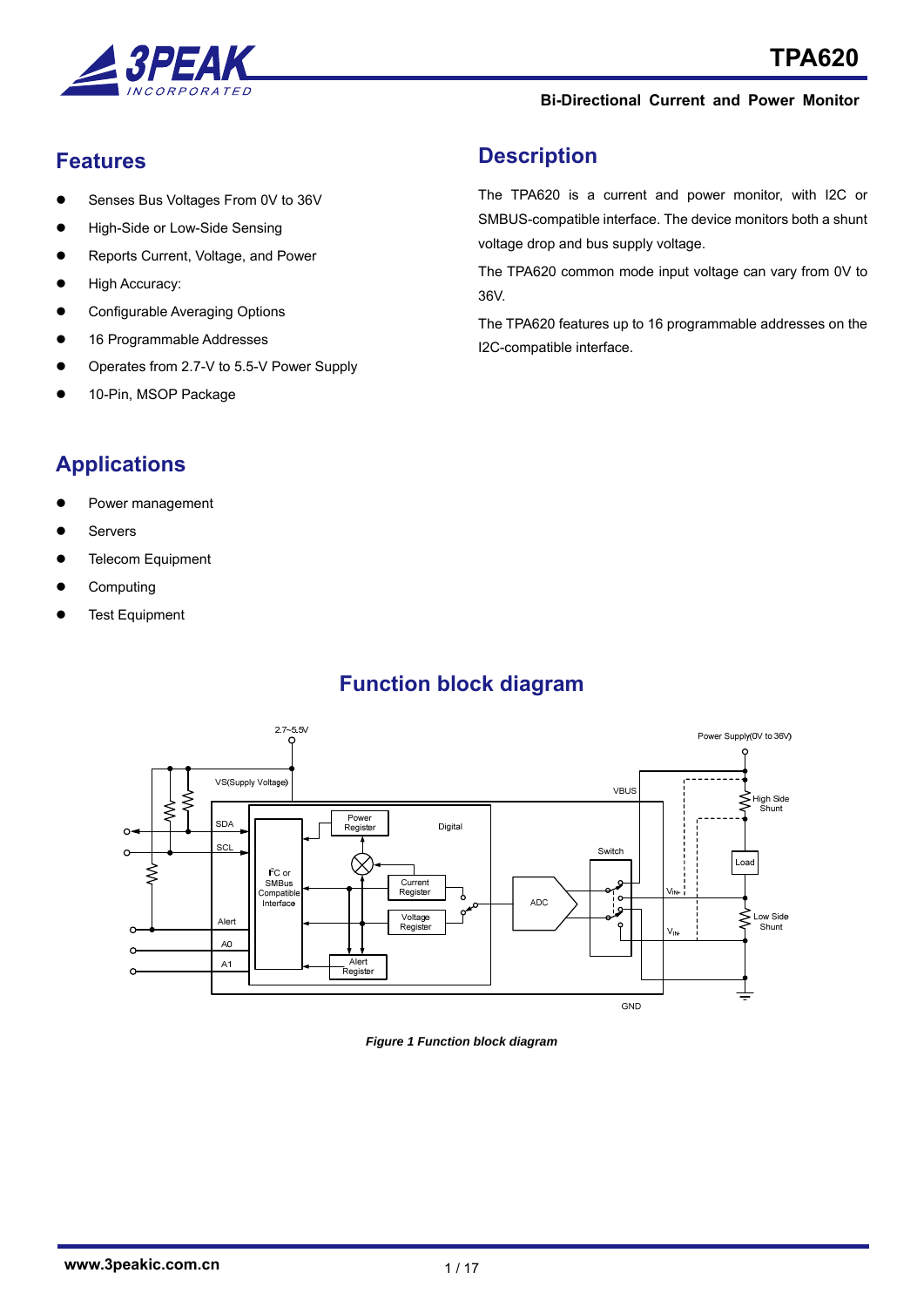

# **Features**

- Senses Bus Voltages From 0V to 36V
- High-Side or Low-Side Sensing
- Reports Current, Voltage, and Power
- High Accuracy:
- Configurable Averaging Options
- 16 Programmable Addresses
- Operates from 2.7-V to 5.5-V Power Supply
- 10-Pin, MSOP Package

# **Description**

The TPA620 is a current and power monitor, with I2C or SMBUS-compatible interface. The device monitors both a shunt voltage drop and bus supply voltage.

The TPA620 common mode input voltage can vary from 0V to 36V.

The TPA620 features up to 16 programmable addresses on the I2C-compatible interface.

# **Applications**

- Power management
- Servers
- Telecom Equipment
- Computing
- Test Equipment

# **Function block diagram**



*Figure 1 Function block diagram*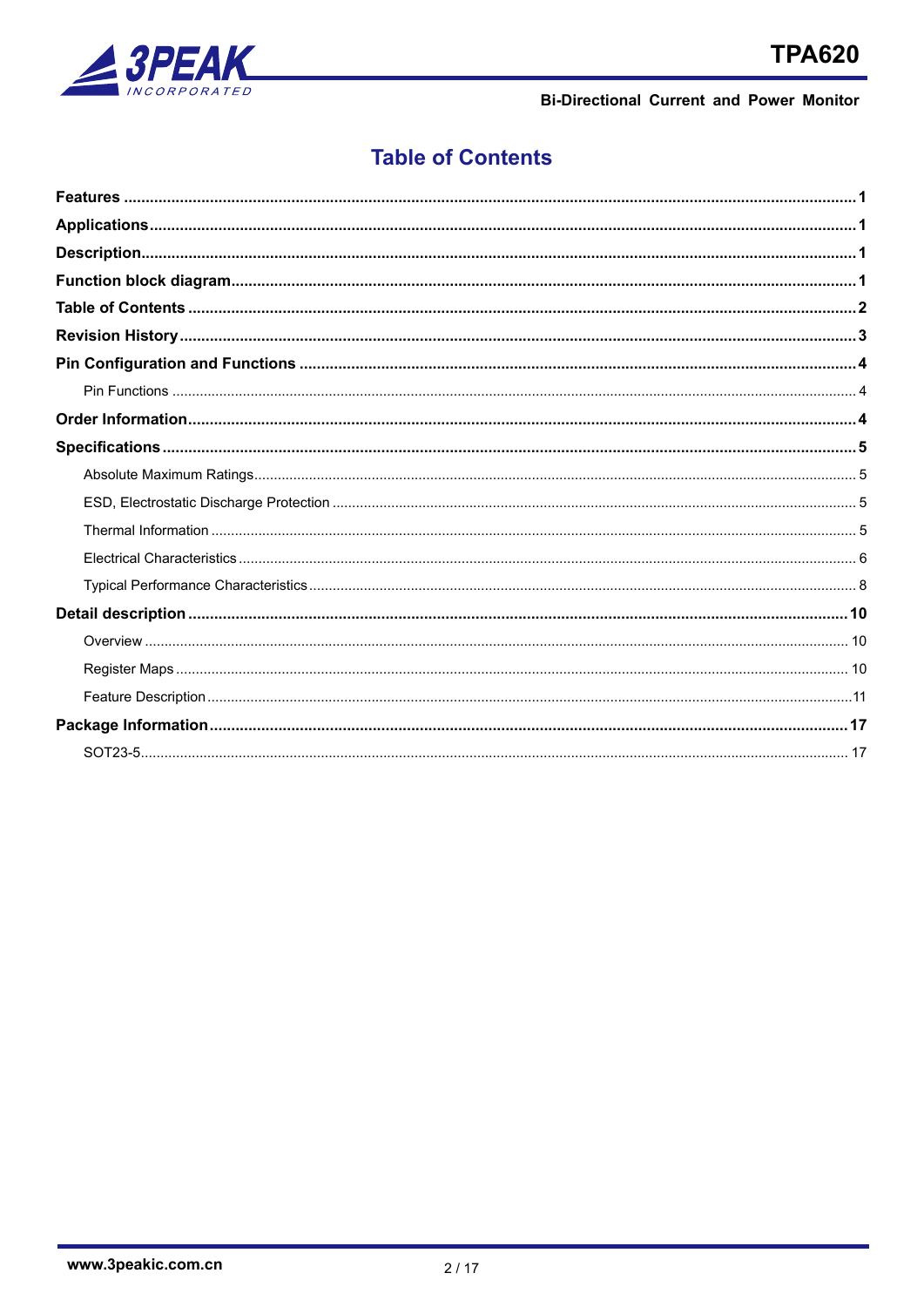

# **Table of Contents**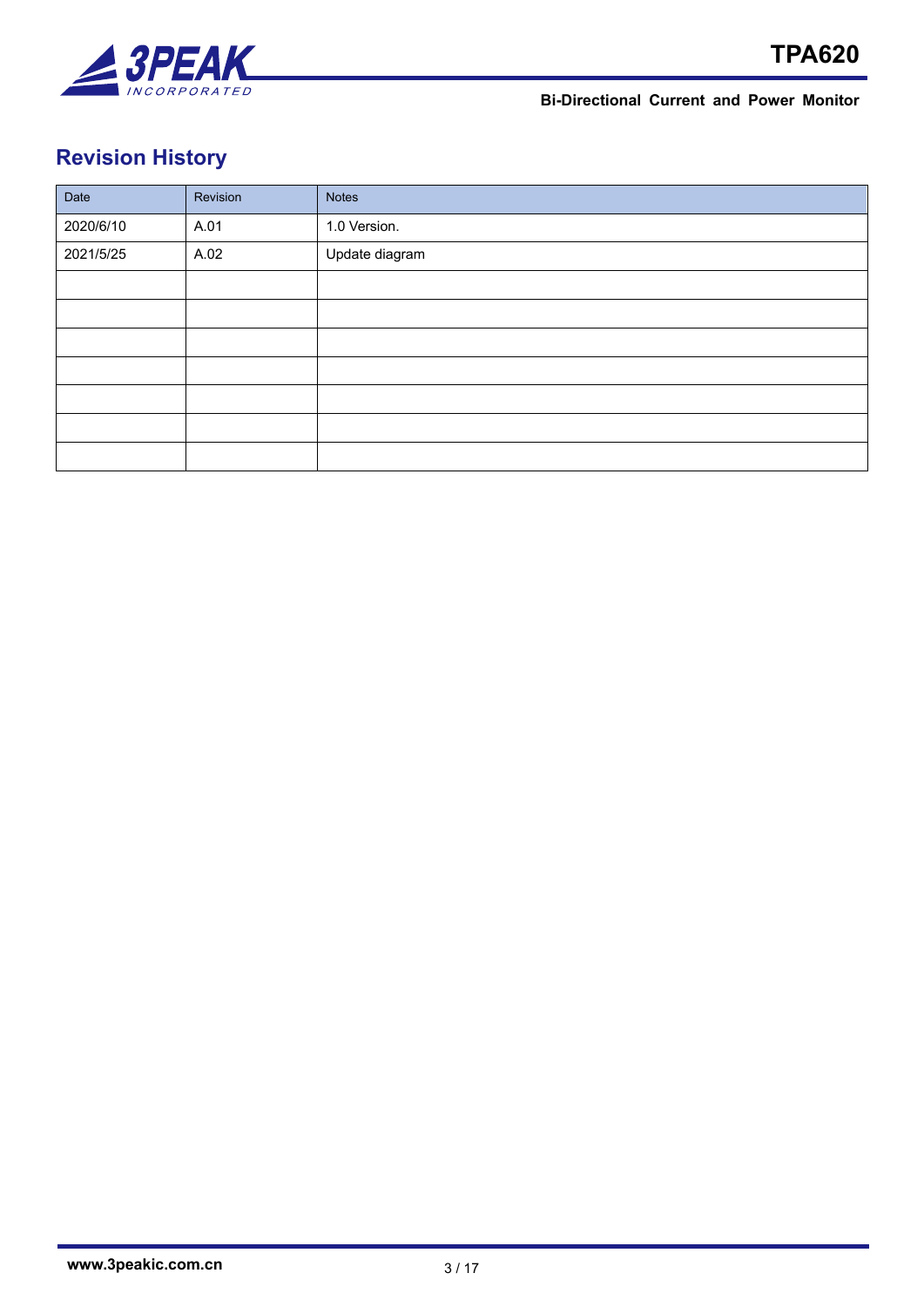

# **Revision History**

| Date      | Revision | <b>Notes</b>   |
|-----------|----------|----------------|
| 2020/6/10 | A.01     | 1.0 Version.   |
| 2021/5/25 | A.02     | Update diagram |
|           |          |                |
|           |          |                |
|           |          |                |
|           |          |                |
|           |          |                |
|           |          |                |
|           |          |                |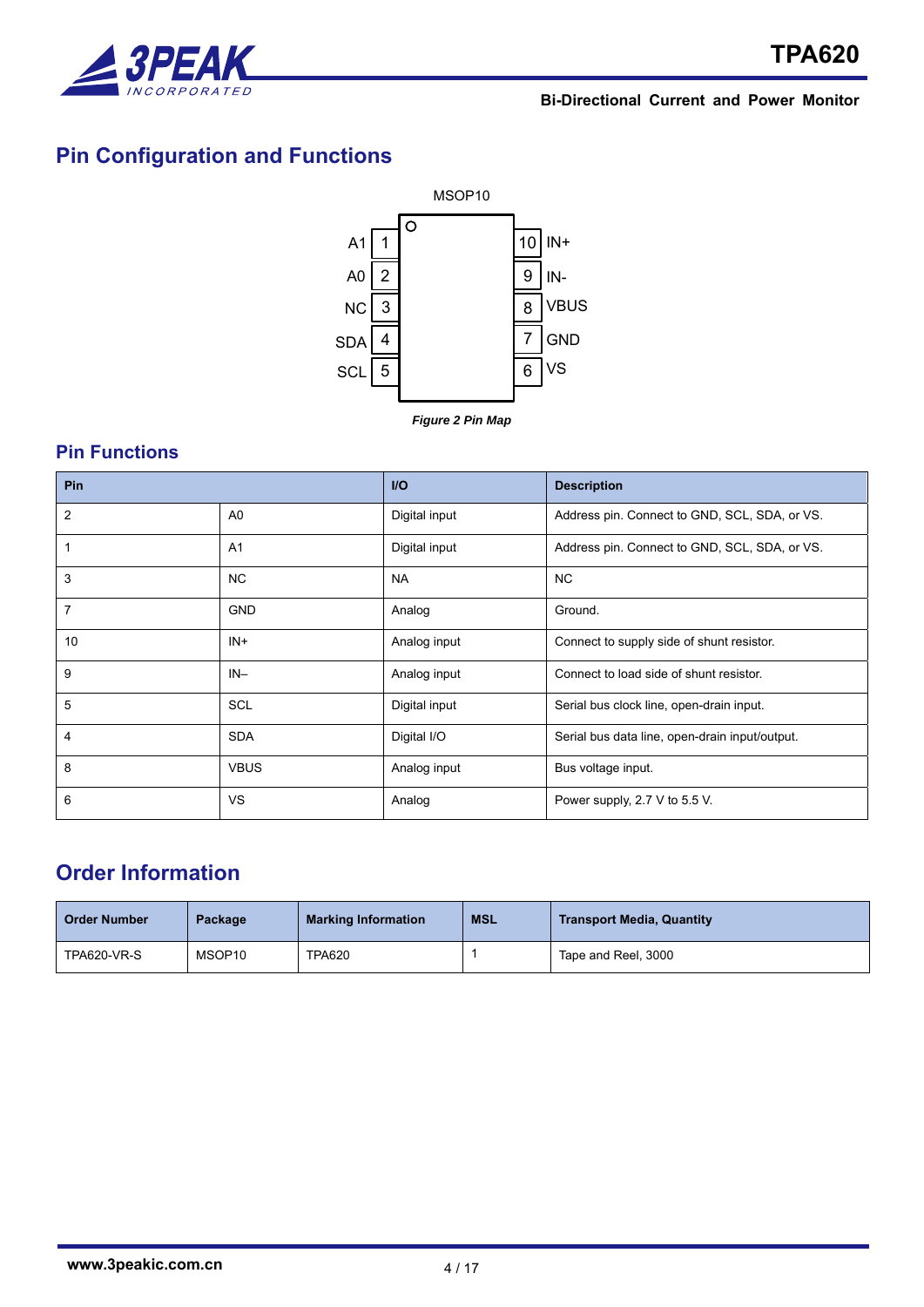

# **Pin Configuration and Functions**



# **Pin Functions**

| Pin            |                | $U$           | <b>Description</b>                             |
|----------------|----------------|---------------|------------------------------------------------|
| $\overline{2}$ | A0             | Digital input | Address pin. Connect to GND, SCL, SDA, or VS.  |
| 1              | A <sub>1</sub> | Digital input | Address pin. Connect to GND, SCL, SDA, or VS.  |
| 3              | <b>NC</b>      | <b>NA</b>     | NC.                                            |
| $\overline{7}$ | <b>GND</b>     | Analog        | Ground.                                        |
| 10             | $IN +$         | Analog input  | Connect to supply side of shunt resistor.      |
| 9              | $IN-$          | Analog input  | Connect to load side of shunt resistor.        |
| 5              | <b>SCL</b>     | Digital input | Serial bus clock line, open-drain input.       |
| 4              | <b>SDA</b>     | Digital I/O   | Serial bus data line, open-drain input/output. |
| 8              | <b>VBUS</b>    | Analog input  | Bus voltage input.                             |
| 6              | <b>VS</b>      | Analog        | Power supply, 2.7 V to 5.5 V.                  |

# **Order Information**

| <b>Order Number</b> | Package            | <b>Marking Information</b> | <b>MSL</b> | <b>Transport Media, Quantity</b> |
|---------------------|--------------------|----------------------------|------------|----------------------------------|
| TPA620-VR-S         | MSOP <sub>10</sub> | <b>TPA620</b>              |            | Tape and Reel, 3000              |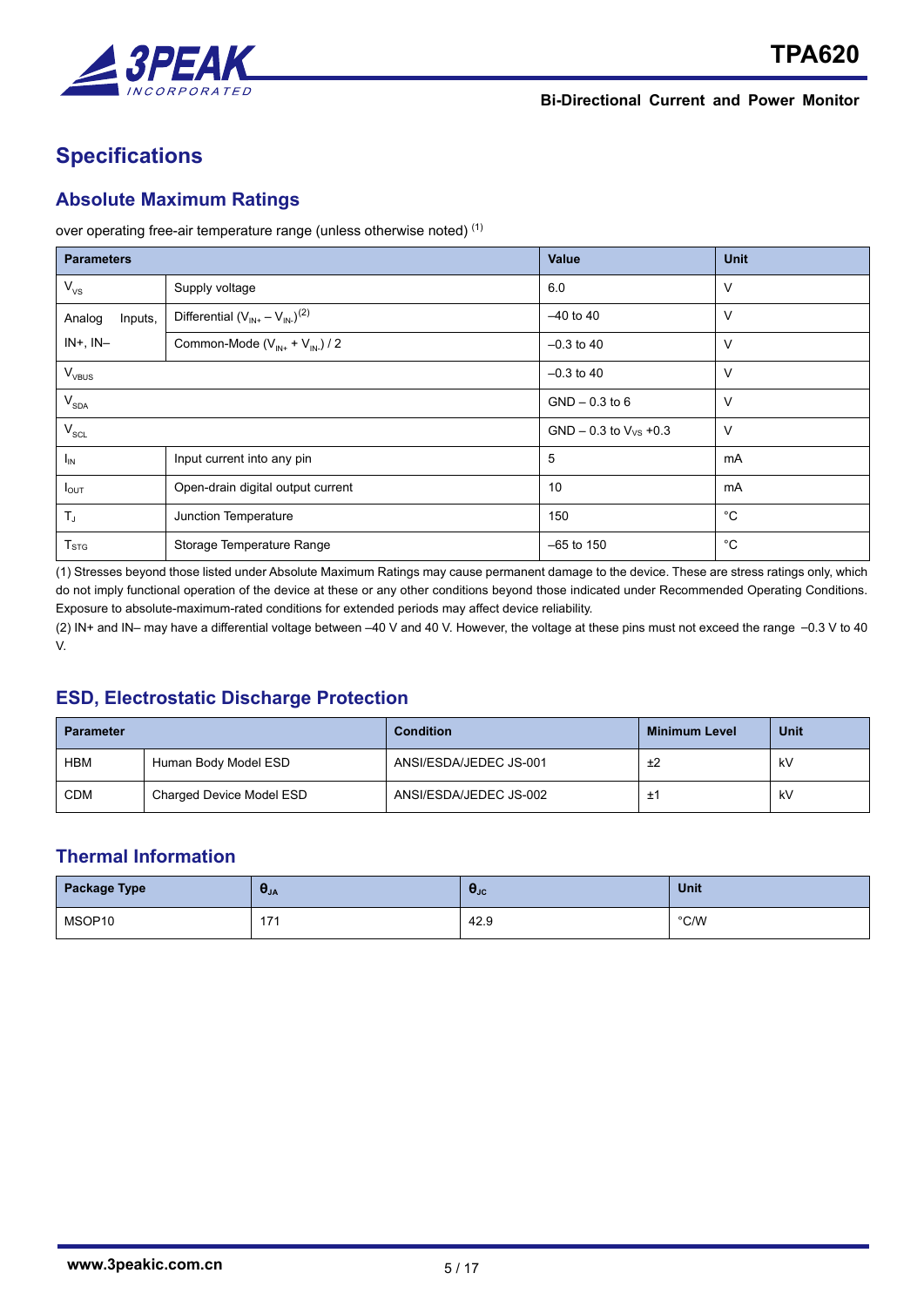

# **Specifications**

## **Absolute Maximum Ratings**

over operating free-air temperature range (unless otherwise noted) (1)

| <b>Parameters</b>           |                                          | Value                       | <b>Unit</b> |
|-----------------------------|------------------------------------------|-----------------------------|-------------|
| $V_{\rm VS}$                | Supply voltage                           | 6.0                         | $\vee$      |
| Inputs,<br>Analog           | Differential $(V_{IN+} - V_{IN-})^{(2)}$ | $-40$ to 40                 | V           |
| $IN+$ , $IN-$               | Common-Mode $(V_{IN+} + V_{IN-})/2$      | $-0.3$ to 40                | V           |
| $V_{VBUS}$                  |                                          | $-0.3$ to 40                | $\vee$      |
| $\mathsf{V}_{\mathsf{SDA}}$ |                                          | $GND - 0.3$ to 6            | V           |
| $\mathsf{V}_{\mathsf{SCL}}$ |                                          | GND $-0.3$ to $V_{VS}$ +0.3 | $\vee$      |
| $I_{IN}$                    | Input current into any pin               | 5                           | mA          |
| $I_{OUT}$                   | Open-drain digital output current        | 10                          | mA          |
| $T_{J}$                     | Junction Temperature                     | 150                         | °C          |
| $T_{STG}$                   | Storage Temperature Range                | $-65$ to 150                | °С          |

(1) Stresses beyond those listed under Absolute Maximum Ratings may cause permanent damage to the device. These are stress ratings only, which do not imply functional operation of the device at these or any other conditions beyond those indicated under Recommended Operating Conditions. Exposure to absolute-maximum-rated conditions for extended periods may affect device reliability.

(2) IN+ and IN– may have a differential voltage between –40 V and 40 V. However, the voltage at these pins must not exceed the range –0.3 V to 40 V.

# **ESD, Electrostatic Discharge Protection**

| <b>Parameter</b> |                          | <b>Condition</b>       | <b>Minimum Level</b> | Unit |
|------------------|--------------------------|------------------------|----------------------|------|
| HBM              | Human Body Model ESD     | ANSI/ESDA/JEDEC JS-001 |                      | kV   |
| <b>CDM</b>       | Charged Device Model ESD | ANSI/ESDA/JEDEC JS-002 | ÷<br>∸               | kV   |

# **Thermal Information**

| <b>Package Type</b> | $\sigma_{JA}$ | $\sigma_{\rm JC}$ | Unit          |
|---------------------|---------------|-------------------|---------------|
| MSOP10              | 17'<br>.      | 42.9              | $\degree$ C/W |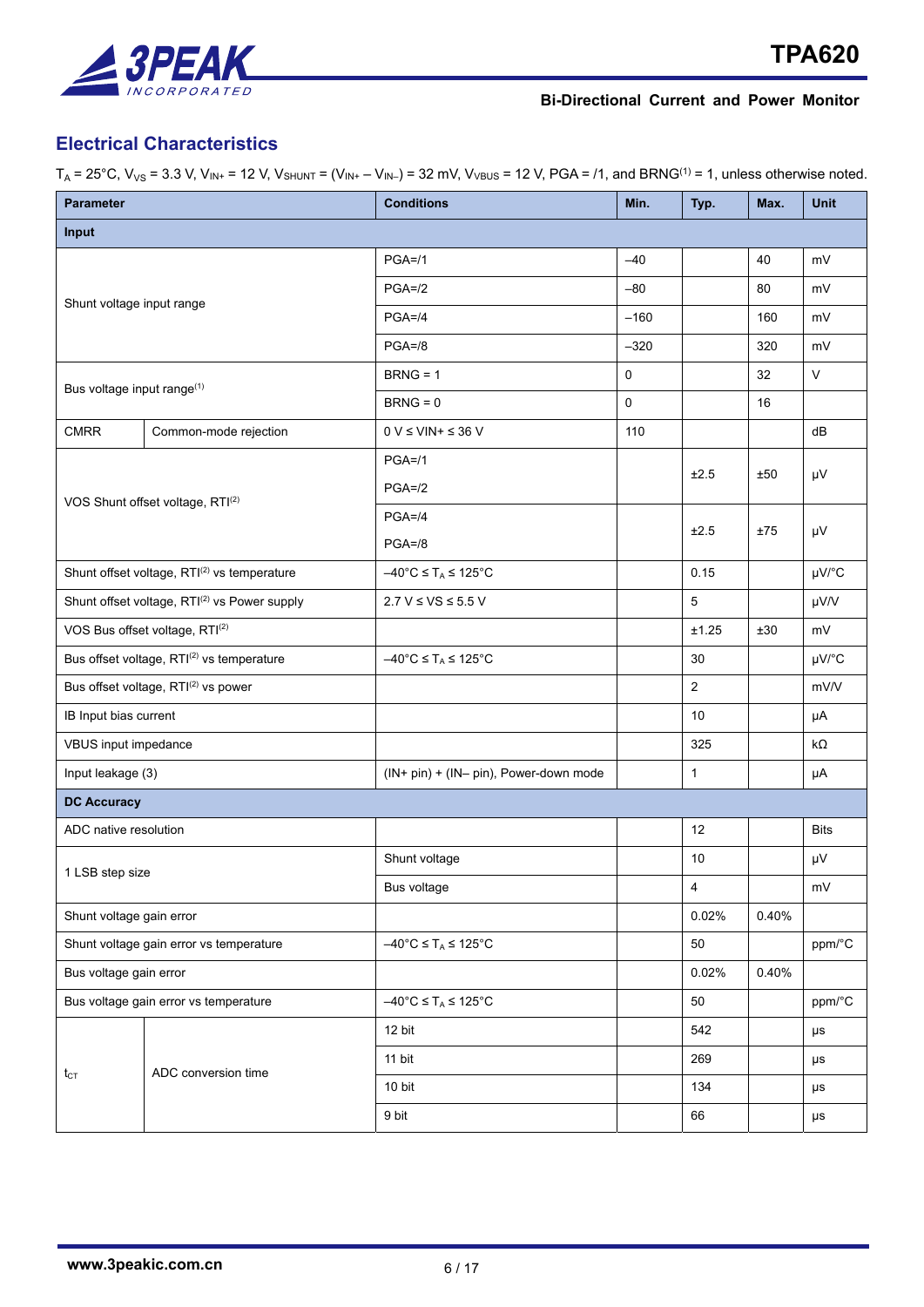

# **Electrical Characteristics**

| <b>Parameter</b>                            |                                                          | <b>Conditions</b>                                             | Min.        | Typ.           | Max.  | <b>Unit</b> |  |  |
|---------------------------------------------|----------------------------------------------------------|---------------------------------------------------------------|-------------|----------------|-------|-------------|--|--|
| Input                                       |                                                          |                                                               |             |                |       |             |  |  |
|                                             |                                                          | $PGA = 11$                                                    | $-40$       |                | 40    | mV          |  |  |
| Shunt voltage input range                   |                                                          | $PGA = /2$                                                    | $-80$       |                | 80    | mV          |  |  |
|                                             |                                                          | $PGA = 4$                                                     | $-160$      |                | 160   | mV          |  |  |
|                                             |                                                          | $PGA = /8$                                                    | $-320$      |                | 320   | mV          |  |  |
|                                             |                                                          | $BRNG = 1$                                                    | $\mathbf 0$ |                | 32    | V           |  |  |
| Bus voltage input range(1)                  |                                                          | $BRNG = 0$                                                    | $\mathbf 0$ |                | 16    |             |  |  |
| <b>CMRR</b>                                 | Common-mode rejection                                    | $0 V \leq VIN + \leq 36 V$                                    | 110         |                |       | dB          |  |  |
|                                             |                                                          | $PGA = 11$                                                    |             | ±2.5           | ±50   | μV          |  |  |
|                                             | VOS Shunt offset voltage, RTI(2)                         | $PGA = /2$                                                    |             |                |       |             |  |  |
|                                             |                                                          | $PGA = 4$                                                     |             | ±2.5           | ±75   | μV          |  |  |
|                                             |                                                          | $PGA = /8$                                                    |             |                |       |             |  |  |
| Shunt offset voltage, RTI(2) vs temperature |                                                          | $-40^{\circ}$ C $\leq$ T <sub>A</sub> $\leq$ 125 $^{\circ}$ C |             | 0.15           |       | µV/°C       |  |  |
|                                             | Shunt offset voltage, RTI <sup>(2)</sup> vs Power supply | $2.7 V \leq VS \leq 5.5 V$                                    |             | 5              |       | µV/V        |  |  |
|                                             | VOS Bus offset voltage, RTI(2)                           |                                                               |             | ±1.25          | ±30   | mV          |  |  |
|                                             | Bus offset voltage, RTI(2) vs temperature                | $-40^{\circ}$ C $\leq$ T <sub>A</sub> $\leq$ 125 $^{\circ}$ C |             | 30             |       | µV/°C       |  |  |
|                                             | Bus offset voltage, RTI(2) vs power                      |                                                               |             | $\overline{2}$ |       | mV/V        |  |  |
| IB Input bias current                       |                                                          |                                                               |             | 10             |       | μA          |  |  |
| VBUS input impedance                        |                                                          |                                                               |             | 325            |       | $k\Omega$   |  |  |
| Input leakage (3)                           |                                                          | (IN+ pin) + (IN- pin), Power-down mode                        |             | $\mathbf{1}$   |       | μA          |  |  |
| <b>DC Accuracy</b>                          |                                                          |                                                               |             |                |       |             |  |  |
| ADC native resolution                       |                                                          |                                                               |             | 12             |       | <b>Bits</b> |  |  |
| 1 LSB step size                             |                                                          | Shunt voltage                                                 |             | 10             |       | μV          |  |  |
|                                             |                                                          | Bus voltage                                                   |             | 4              |       | mV          |  |  |
| Shunt voltage gain error                    |                                                          |                                                               |             | 0.02%          | 0.40% |             |  |  |
|                                             | Shunt voltage gain error vs temperature                  | $-40^{\circ}$ C $\leq$ T <sub>A</sub> $\leq$ 125 $^{\circ}$ C |             | 50             |       | ppm/°C      |  |  |
| Bus voltage gain error                      |                                                          |                                                               |             | 0.02%          | 0.40% |             |  |  |
|                                             | Bus voltage gain error vs temperature                    | $-40^{\circ}$ C $\leq$ T <sub>A</sub> $\leq$ 125 $^{\circ}$ C |             | 50             |       | ppm/°C      |  |  |
|                                             |                                                          | 12 bit                                                        |             | 542            |       | $\mu s$     |  |  |
|                                             | ADC conversion time                                      | 11 bit                                                        |             | 269            |       | μs          |  |  |
| $t_{CT}$                                    |                                                          | 10 bit                                                        |             | 134            |       | μs          |  |  |
|                                             |                                                          | 9 bit                                                         |             | 66             |       | μs          |  |  |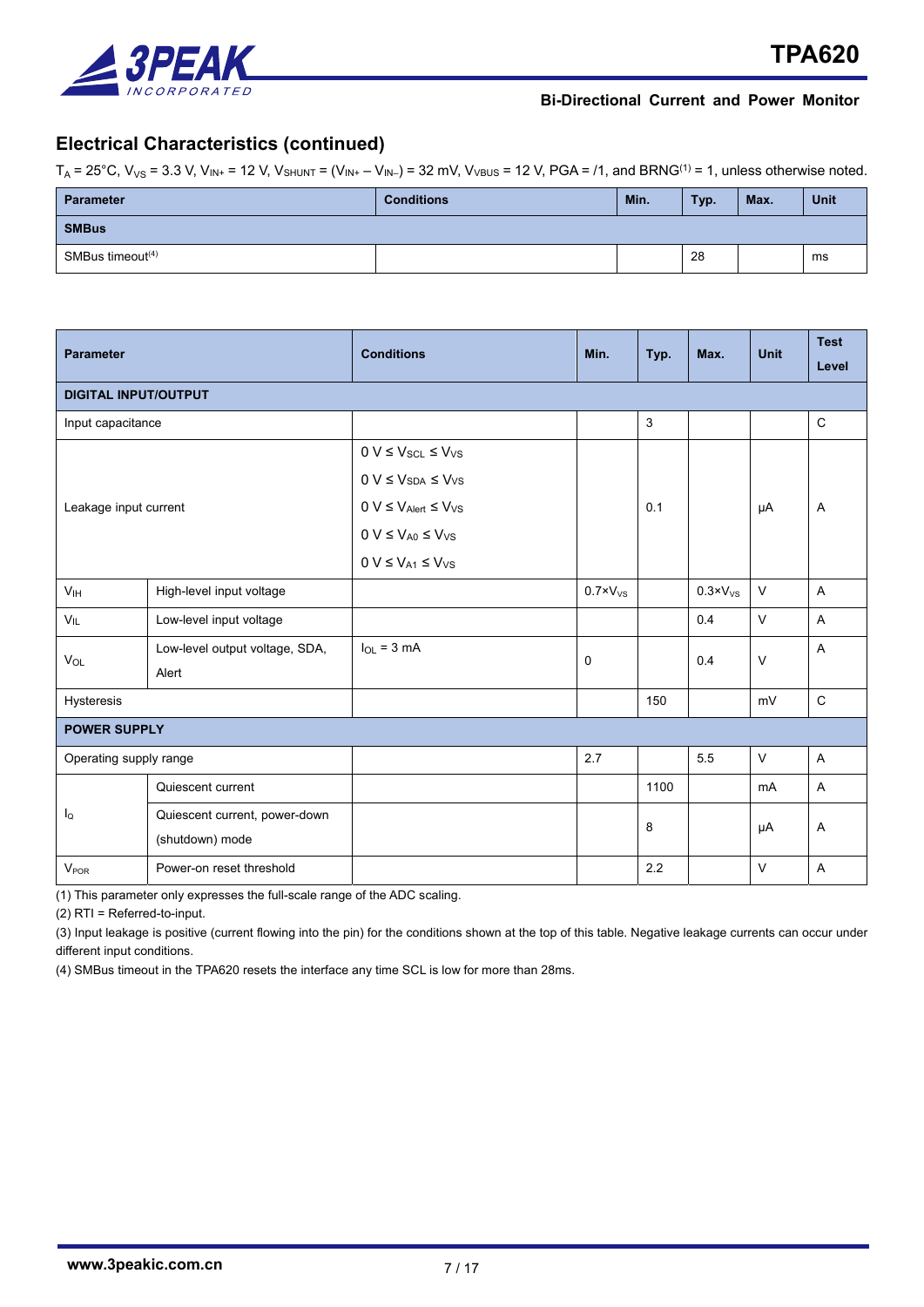

# **Electrical Characteristics (continued)**

 $T_A = 25^{\circ}$ C, V<sub>VS</sub> = 3.3 V, V<sub>IN+</sub> = 12 V, V<sub>SHUNT</sub> = (V<sub>IN+</sub> – V<sub>IN-</sub>) = 32 mV, V<sub>VBUS</sub> = 12 V, PGA = /1, and BRNG<sup>(1)</sup> = 1, unless otherwise noted.

| Parameter           | <b>Conditions</b> | Min. | Typ. | Max. | Unit |
|---------------------|-------------------|------|------|------|------|
| <b>SMBus</b>        |                   |      |      |      |      |
| SMBus timeout $(4)$ |                   |      | 28   |      | ms   |

| <b>Parameter</b>            |                                | <b>Conditions</b>                            | Min.                | Typ. | Max.                | <b>Unit</b>    | <b>Test</b> |
|-----------------------------|--------------------------------|----------------------------------------------|---------------------|------|---------------------|----------------|-------------|
|                             |                                |                                              |                     |      |                     |                | Level       |
| <b>DIGITAL INPUT/OUTPUT</b> |                                |                                              |                     |      |                     |                |             |
| Input capacitance           |                                |                                              |                     | 3    |                     |                | $\mathsf C$ |
|                             |                                | $0 V \leq V_{\text{SCL}} \leq V_{\text{VS}}$ |                     |      |                     |                |             |
|                             |                                | $0 V \leq V_{SDA} \leq V_{VS}$               |                     |      |                     |                |             |
| Leakage input current       |                                | $0 V \leq V_{A ert} \leq V_{VS}$             |                     | 0.1  |                     | μA             | Α           |
|                             |                                | $0 V \le V_{A0} \le V_{VS}$                  |                     |      |                     |                |             |
|                             |                                | $0 V \le V_{A1} \le V_{VS}$                  |                     |      |                     |                |             |
| V <sub>IH</sub>             | High-level input voltage       |                                              | $0.7 \times V_{VS}$ |      | $0.3 \times V_{VS}$ | $\vee$         | A           |
| $V_{IL}$                    | Low-level input voltage        |                                              |                     |      | 0.4                 | $\vee$         | A           |
| V <sub>OL</sub>             | Low-level output voltage, SDA, | $I_{OL}$ = 3 mA                              |                     |      | 0.4                 | $\vee$         | Α           |
|                             | Alert                          |                                              | 0                   |      |                     |                |             |
| Hysteresis                  |                                |                                              |                     | 150  |                     | mV             | $\mathbf C$ |
| <b>POWER SUPPLY</b>         |                                |                                              |                     |      |                     |                |             |
| Operating supply range      |                                |                                              | 2.7                 |      | 5.5                 | V              | A           |
| $I_{\mathsf{Q}}$            | Quiescent current              |                                              |                     | 1100 |                     | m <sub>A</sub> | A           |
|                             | Quiescent current, power-down  |                                              |                     | 8    |                     |                | Α           |
|                             | (shutdown) mode                |                                              |                     |      |                     | μA             |             |
| <b>V<sub>POR</sub></b>      | Power-on reset threshold       |                                              |                     | 2.2  |                     | $\vee$         | Α           |

(1) This parameter only expresses the full-scale range of the ADC scaling.

(2) RTI = Referred-to-input.

(3) Input leakage is positive (current flowing into the pin) for the conditions shown at the top of this table. Negative leakage currents can occur under different input conditions.

(4) SMBus timeout in the TPA620 resets the interface any time SCL is low for more than 28ms.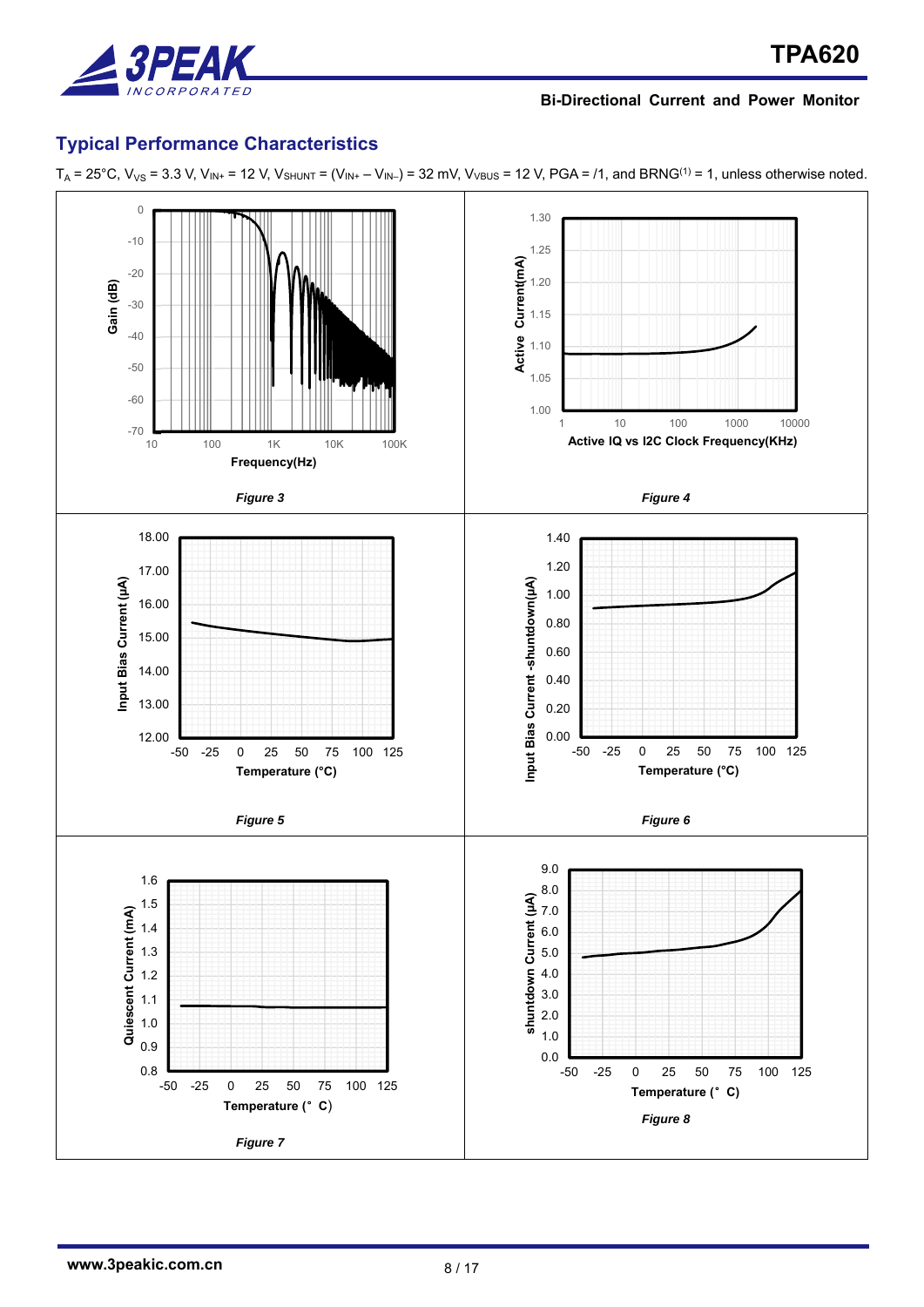

## **Typical Performance Characteristics**



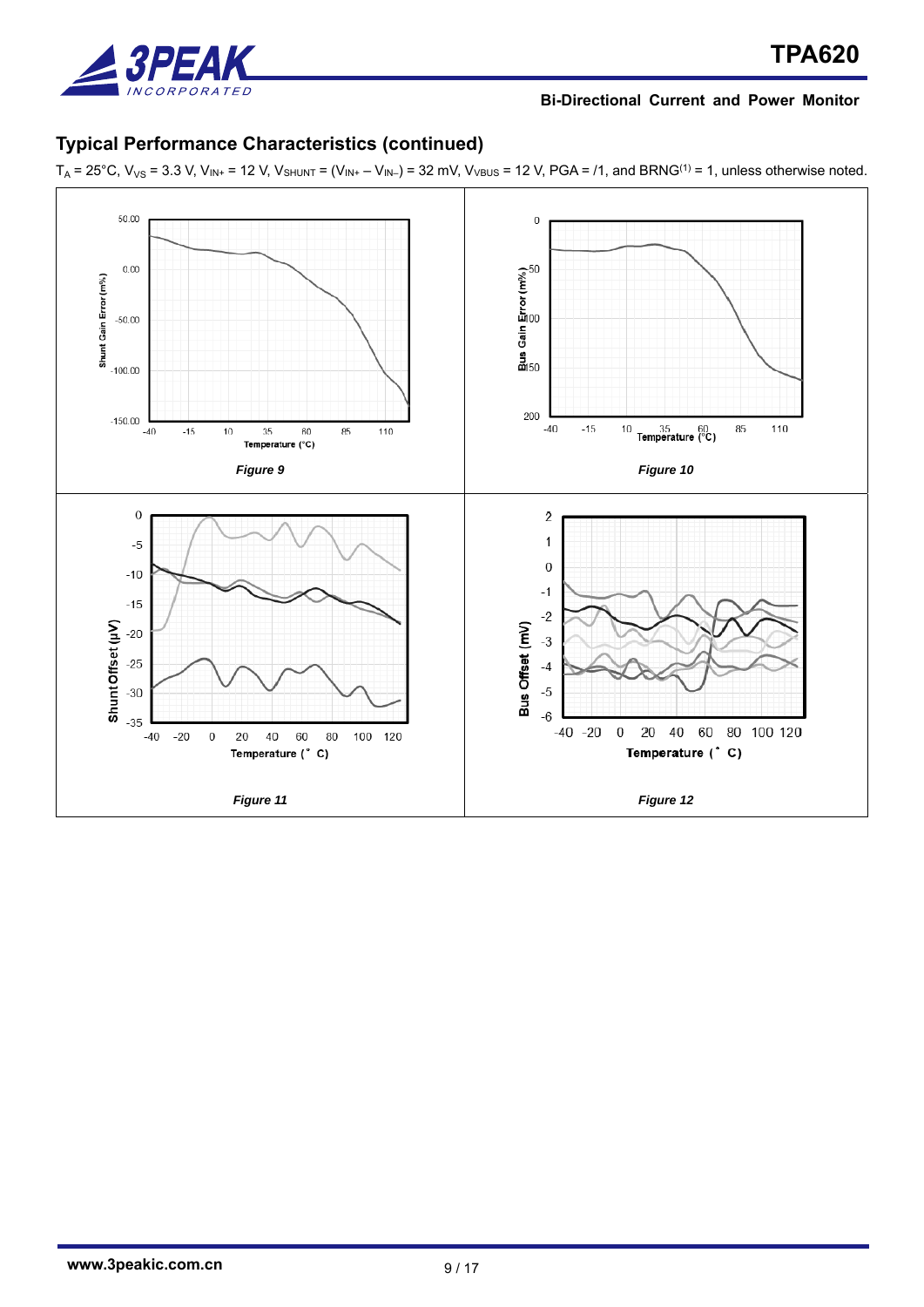

# **Typical Performance Characteristics (continued)**

 $T_A = 25^{\circ}$ C,  $V_{VS} = 3.3$  V,  $V_{IN+} = 12$  V,  $V_{SHUNT} = (V_{IN+} - V_{IN-}) = 32$  mV,  $V_{VBUS} = 12$  V, PGA = /1, and BRNG<sup>(1)</sup> = 1, unless otherwise noted.

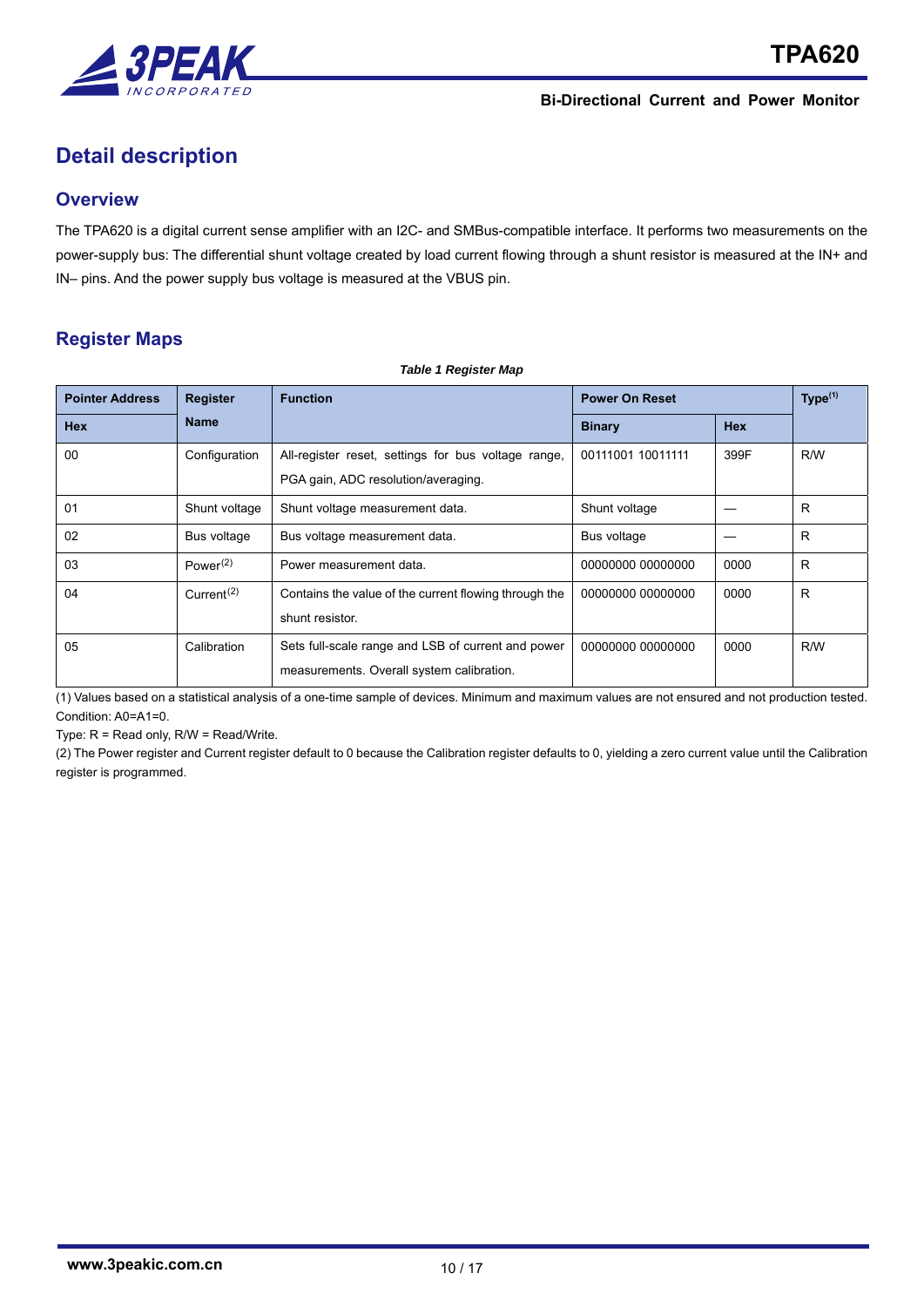

# **Detail description**

## **Overview**

The TPA620 is a digital current sense amplifier with an I2C- and SMBus-compatible interface. It performs two measurements on the power-supply bus: The differential shunt voltage created by load current flowing through a shunt resistor is measured at the IN+ and IN– pins. And the power supply bus voltage is measured at the VBUS pin.

*Table 1 Register Map* 

# **Register Maps**

| <b>Pointer Address</b> | <b>Register</b>                     | <b>Function</b>                                       | <b>Power On Reset</b> |            | Type <sup>(1)</sup> |
|------------------------|-------------------------------------|-------------------------------------------------------|-----------------------|------------|---------------------|
| <b>Hex</b>             | <b>Name</b>                         |                                                       | <b>Binary</b>         | <b>Hex</b> |                     |
| 00                     | Configuration                       | All-register reset, settings for bus voltage range,   | 00111001 10011111     | 399F       | R/W                 |
|                        |                                     | PGA gain, ADC resolution/averaging.                   |                       |            |                     |
| 01                     | Shunt voltage                       | Shunt voltage measurement data.                       | Shunt voltage         |            | R                   |
| 02                     | Bus voltage                         | Bus voltage measurement data.                         | Bus voltage           |            | R                   |
| 03                     | Power <sup>(2)</sup>                | Power measurement data.                               | 00000000 00000000     | 0000       | R                   |
| 04                     | Current <sup><math>(2)</math></sup> | Contains the value of the current flowing through the | 00000000 00000000     | 0000       | R.                  |
|                        |                                     | shunt resistor.                                       |                       |            |                     |
| 05                     | Calibration                         | Sets full-scale range and LSB of current and power    | 00000000 00000000     | 0000       | R/W                 |
|                        |                                     | measurements. Overall system calibration.             |                       |            |                     |

(1) Values based on a statistical analysis of a one-time sample of devices. Minimum and maximum values are not ensured and not production tested. Condition: A0=A1=0.

Type: R = Read only, R/W = Read/Write.

(2) The Power register and Current register default to 0 because the Calibration register defaults to 0, yielding a zero current value until the Calibration register is programmed.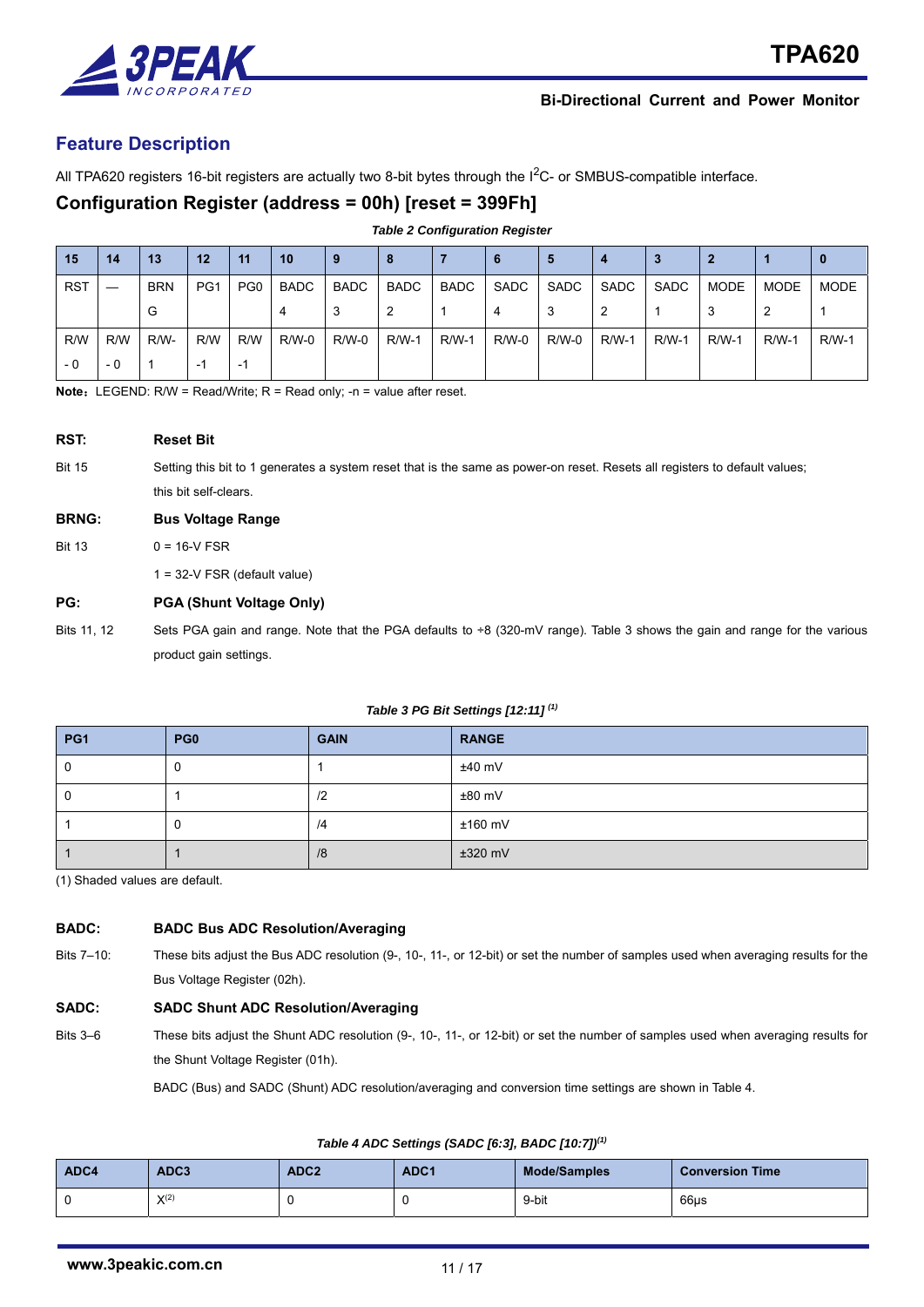

## **Feature Description**

All TPA620 registers 16-bit registers are actually two 8-bit bytes through the  $1^2C$ - or SMBUS-compatible interface.

## **Configuration Register (address = 00h) [reset = 399Fh]**

|            | <b>Table 2 Configuration Register</b> |            |                 |                 |             |              |              |              |         |         |         |              |         |         |              |
|------------|---------------------------------------|------------|-----------------|-----------------|-------------|--------------|--------------|--------------|---------|---------|---------|--------------|---------|---------|--------------|
| 15         | 14                                    | 13         | 12              | 11              | 10          | 9            | 8            |              | 6       | 5       | 4       |              | 2       |         |              |
| <b>RST</b> |                                       | <b>BRN</b> | PG <sub>1</sub> | PG <sub>0</sub> | <b>BADC</b> | <b>BADC</b>  | <b>BADC</b>  | BADC         | SADC    | SADC    | SADC    | SADC         | MODE    | MODE    | MODE         |
|            |                                       | G          |                 |                 | 4           | 3            | 2            |              | 4       | 3       | 2       |              | 3       | 2       |              |
| R/W        | R/W                                   | R/W-       | R/W             | R/W             | $R/W-0$     | <b>R/W-0</b> | <b>R/W-1</b> | <b>R/W-1</b> | $R/W-0$ | $R/W-0$ | $R/W-1$ | <b>R/W-1</b> | $R/W-1$ | $R/W-1$ | <b>R/W-1</b> |
| - 0        | - 0                                   | -1         | -1              | -1              |             |              |              |              |         |         |         |              |         |         |              |

**Note:** LEGEND: R/W = Read/Write; R = Read only; -n = value after reset.

| RST:          | <b>Reset Bit</b>                                                                                                           |
|---------------|----------------------------------------------------------------------------------------------------------------------------|
| <b>Bit 15</b> | Setting this bit to 1 generates a system reset that is the same as power-on reset. Resets all registers to default values; |
|               | this bit self-clears.                                                                                                      |
| <b>BRNG:</b>  | <b>Bus Voltage Range</b>                                                                                                   |
|               |                                                                                                                            |
| <b>Bit 13</b> | $0 = 16 - V$ FSR                                                                                                           |

### **PG: PGA (Shunt Voltage Only)**

Bits 11, 12 Sets PGA gain and range. Note that the PGA defaults to ÷8 (320-mV range). Table 3 shows the gain and range for the various product gain settings.

#### *Table 3 PG Bit Settings [12:11] (1)*

| PG <sub>1</sub> | PG <sub>0</sub> | <b>GAIN</b> | <b>RANGE</b> |
|-----------------|-----------------|-------------|--------------|
|                 |                 |             | $±40$ mV     |
|                 |                 | $\sqrt{2}$  | $±80$ mV     |
|                 | u               | /4          | $±160$ mV    |
|                 |                 | /8          | $±320$ mV    |

(1) Shaded values are default.

#### **BADC: BADC Bus ADC Resolution/Averaging**

Bits 7–10: These bits adjust the Bus ADC resolution (9-, 10-, 11-, or 12-bit) or set the number of samples used when averaging results for the Bus Voltage Register (02h).

#### **SADC: SADC Shunt ADC Resolution/Averaging**

Bits 3–6 These bits adjust the Shunt ADC resolution (9-, 10-, 11-, or 12-bit) or set the number of samples used when averaging results for the Shunt Voltage Register (01h).

BADC (Bus) and SADC (Shunt) ADC resolution/averaging and conversion time settings are shown in Table 4.

#### *Table 4 ADC Settings (SADC [6:3], BADC [10:7])(1)*

| ADC4 | ADC3      | ADC <sub>2</sub> | ADC <sub>1</sub> | <b>Mode/Samples</b> | <b>Conversion Time</b> |
|------|-----------|------------------|------------------|---------------------|------------------------|
|      | $X^{(2)}$ |                  | υ                | 9-bit               | 66us                   |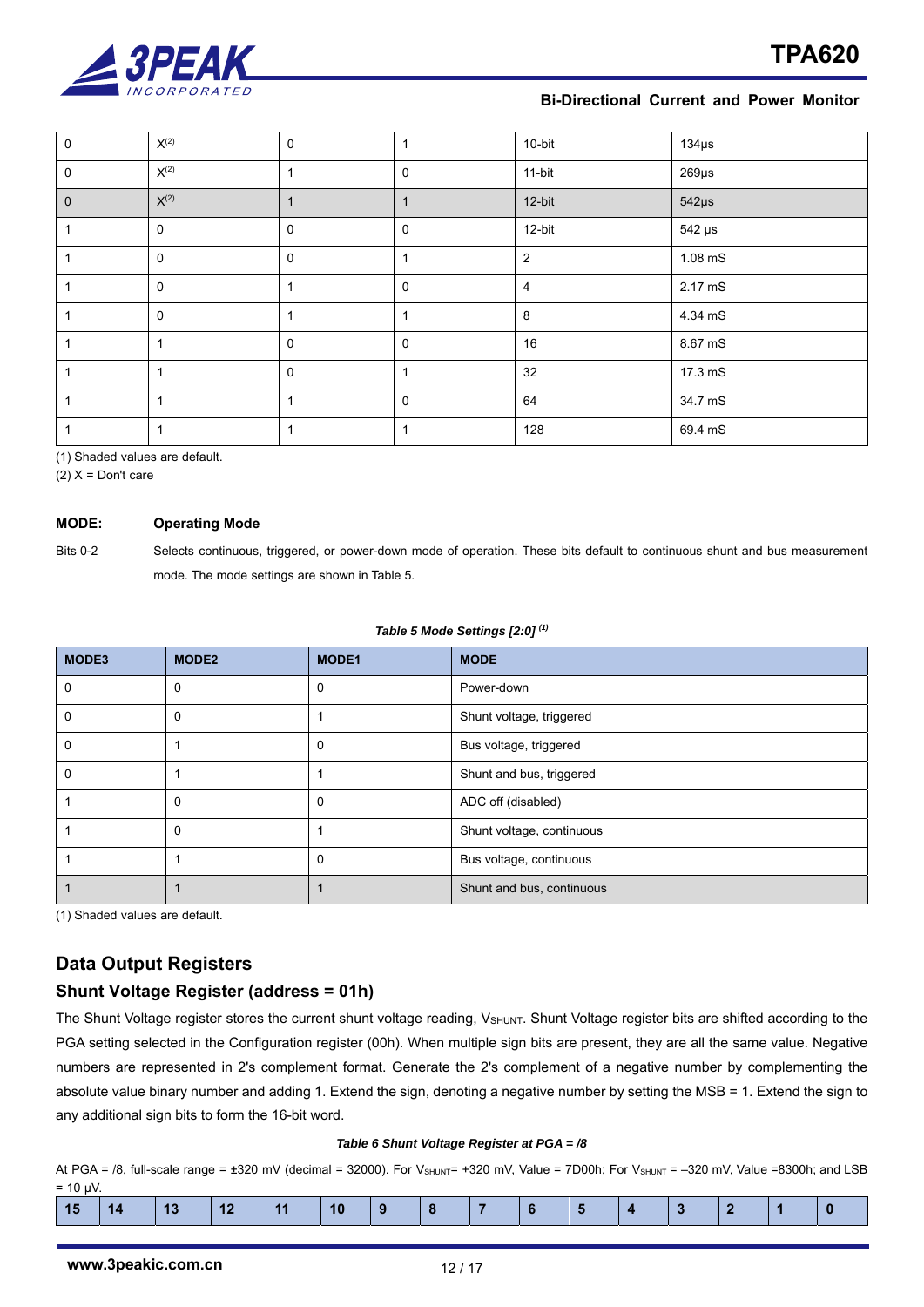

| 0           | $\mathsf{X}^{(2)}$ | $\mathbf 0$ |             | 10-bit         | $134\mu s$  |
|-------------|--------------------|-------------|-------------|----------------|-------------|
| $\mathbf 0$ | $\mathsf{X}^{(2)}$ | 1           | 0           | 11-bit         | $269\mu s$  |
| $\mathbf 0$ | $\mathsf{X}^{(2)}$ | 1           |             | 12-bit         | $542\mu s$  |
|             | $\mathbf 0$        | $\mathbf 0$ | 0           | 12-bit         | $542 \mu s$ |
|             | $\mathbf 0$        | $\mathbf 0$ |             | 2              | $1.08$ mS   |
|             | $\mathbf 0$        | 1           | 0           | $\overline{4}$ | 2.17 mS     |
|             | $\mathbf 0$        | 1           |             | 8              | 4.34 mS     |
|             | $\mathbf{1}$       | $\mathbf 0$ | 0           | 16             | 8.67 mS     |
|             | 1                  | $\mathbf 0$ |             | 32             | 17.3 mS     |
|             | 1                  | 1           | $\mathbf 0$ | 64             | 34.7 mS     |
|             | 1                  | 1           |             | 128            | 69.4 mS     |

(1) Shaded values are default.

 $(2)$  X = Don't care

#### **MODE: Operating Mode**

Bits 0-2 Selects continuous, triggered, or power-down mode of operation. These bits default to continuous shunt and bus measurement mode. The mode settings are shown in Table 5.

#### *Table 5 Mode Settings [2:0] (1)*

| MODE3 | MODE <sub>2</sub> | <b>MODE1</b> | <b>MODE</b>               |
|-------|-------------------|--------------|---------------------------|
| 0     | $\Omega$          | 0            | Power-down                |
| 0     | C                 |              | Shunt voltage, triggered  |
| 0     |                   | 0            | Bus voltage, triggered    |
| 0     |                   |              | Shunt and bus, triggered  |
|       | $\Omega$          | 0            | ADC off (disabled)        |
|       | 0                 |              | Shunt voltage, continuous |
|       |                   | 0            | Bus voltage, continuous   |
|       |                   |              | Shunt and bus, continuous |

(1) Shaded values are default.

# **Data Output Registers**

## **Shunt Voltage Register (address = 01h)**

The Shunt Voltage register stores the current shunt voltage reading, V<sub>SHUNT</sub>. Shunt Voltage register bits are shifted according to the PGA setting selected in the Configuration register (00h). When multiple sign bits are present, they are all the same value. Negative numbers are represented in 2's complement format. Generate the 2's complement of a negative number by complementing the absolute value binary number and adding 1. Extend the sign, denoting a negative number by setting the MSB = 1. Extend the sign to any additional sign bits to form the 16-bit word.

#### *Table 6 Shunt Voltage Register at PGA = /8*

At PGA = /8, full-scale range =  $\pm 320$  mV (decimal = 32000). For V<sub>SHUNT</sub>= +320 mV, Value = 7D00h; For V<sub>SHUNT</sub> = -320 mV, Value =8300h; and LSB  $= 10$  μV.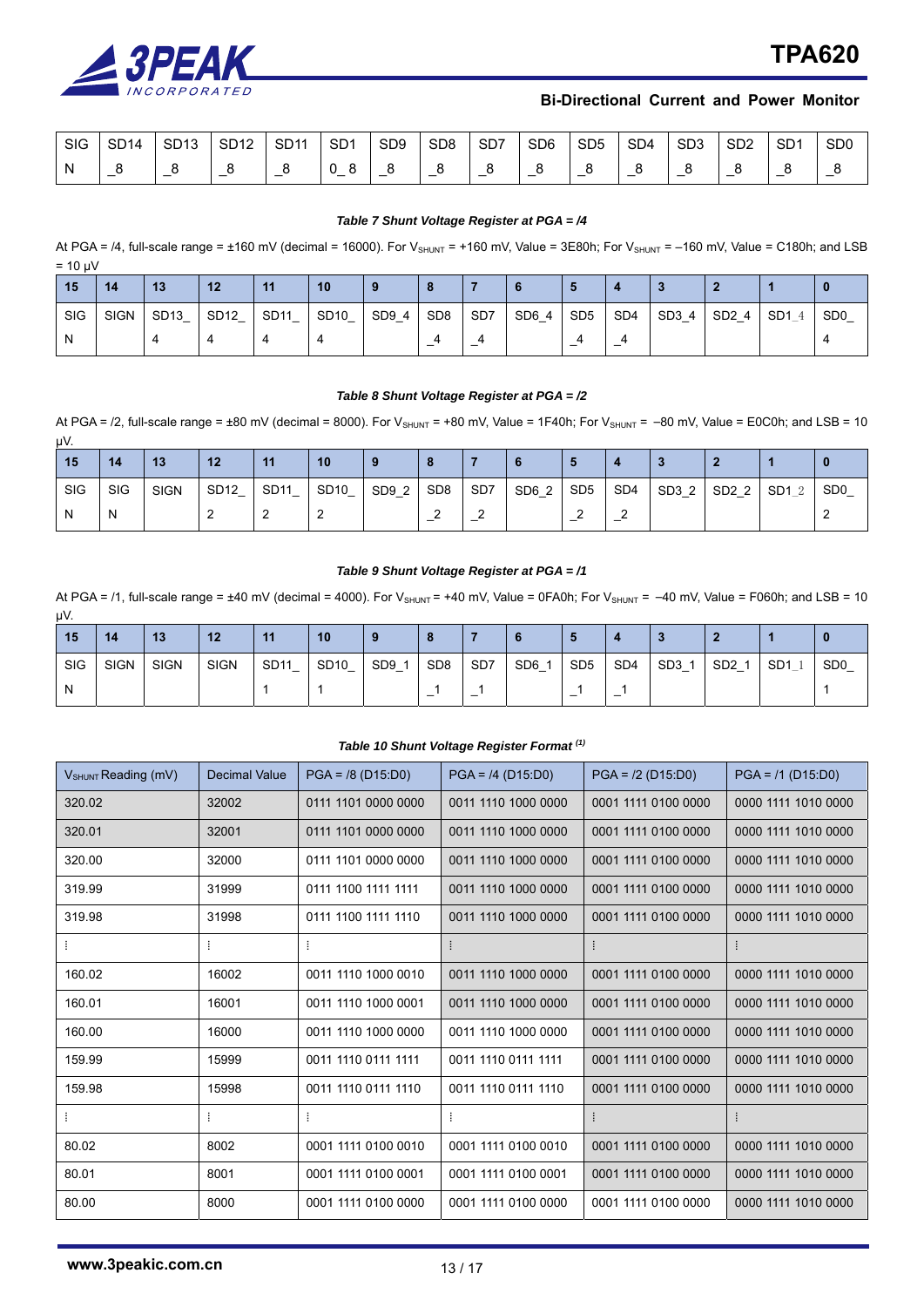

| SIG | SD <sub>14</sub> | SD <sub>13</sub> | SD <sub>12</sub> | SD <sub>11</sub> | SD <sub>1</sub> | SD <sub>9</sub> | SD <sub>8</sub> | SD <sub>7</sub> | SD <sub>6</sub> | SD <sub>5</sub> | SD <sub>4</sub> | SD <sub>3</sub> | SD <sub>2</sub> | SD <sub>1</sub> | S <sub>D</sub> <sub>0</sub> |
|-----|------------------|------------------|------------------|------------------|-----------------|-----------------|-----------------|-----------------|-----------------|-----------------|-----------------|-----------------|-----------------|-----------------|-----------------------------|
|     |                  | _                |                  | –                |                 | _               | –               |                 |                 |                 |                 |                 |                 |                 |                             |

#### *Table 7 Shunt Voltage Register at PGA = /4*

At PGA = /4, full-scale range = ±160 mV (decimal = 16000). For V<sub>SHUNT</sub> = +160 mV, Value = 3E80h; For V<sub>SHUNT</sub> = -160 mV, Value = C180h; and LSB  $= 10 \text{ uV}$ 

| 15  | 14          | 13               | 12   | 11               | 10               |                             |                          |                 | o     |                 |                               |       |       |                 |                             |
|-----|-------------|------------------|------|------------------|------------------|-----------------------------|--------------------------|-----------------|-------|-----------------|-------------------------------|-------|-------|-----------------|-----------------------------|
| SIG | <b>SIGN</b> | SD <sub>13</sub> | SD12 | <b>SD11</b><br>– | <b>SD10</b><br>– | SD9<br>$\overline{4}$<br>-- | SD <sub>8</sub>          | SD <sub>7</sub> | SD6 4 | SD <sub>5</sub> | SD <sub>4</sub>               | SD3 4 | SD2 4 | SD <sub>1</sub> | S <sub>D</sub> <sub>0</sub> |
| N   |             |                  |      |                  |                  |                             | $\overline{\phantom{0}}$ | -               |       | –               | ୵<br>$\overline{\phantom{0}}$ |       |       |                 |                             |

#### *Table 8 Shunt Voltage Register at PGA = /2*

At PGA = /2, full-scale range =  $\pm 80$  mV (decimal = 8000). For V<sub>SHUNT</sub> =  $+80$  mV, Value = 1F40h; For V<sub>SHUNT</sub> =  $-80$  mV, Value = E0C0h; and LSB = 10 μV.

| 15  | 14  | 13          | 12                    | 11   | 10                    |       |                 |     |       |                 |                 |       |       |                      |                 |
|-----|-----|-------------|-----------------------|------|-----------------------|-------|-----------------|-----|-------|-----------------|-----------------|-------|-------|----------------------|-----------------|
| SIG | SIG | <b>SIGN</b> | SD <sub>12</sub><br>– | SD11 | SD <sub>10</sub><br>- | SD9 2 | SD <sub>8</sub> | SD7 | SD6 2 | SD <sub>5</sub> | SD <sub>4</sub> | SD3 2 | SD2 2 | SD <sub>1</sub><br>റ | SD <sub>0</sub> |
| N   | N   |             |                       | -    | ∼                     |       | -               | –   |       | -               | –               |       |       |                      |                 |

#### *Table 9 Shunt Voltage Register at PGA = /1*

At PGA = /1, full-scale range =  $\pm 40$  mV (decimal = 4000). For V<sub>SHUNT</sub> =  $\pm 40$  mV, Value = 0FA0h; For V<sub>SHUNT</sub> =  $-40$  mV, Value = F060h; and LSB = 10 μV.

| 15  | 14          | 13          | 12          | 44               | 10                                           |                      |                 |                 |     |                 |                 |                 |                 |                 |                             |
|-----|-------------|-------------|-------------|------------------|----------------------------------------------|----------------------|-----------------|-----------------|-----|-----------------|-----------------|-----------------|-----------------|-----------------|-----------------------------|
| SIG | <b>SIGN</b> | <b>SIGN</b> | <b>SIGN</b> | <b>SD11</b><br>_ | SD <sub>10</sub><br>$\overline{\phantom{0}}$ | SD <sub>9</sub><br>– | SD <sub>8</sub> | SD <sub>7</sub> | SD6 | SD <sub>5</sub> | SD <sub>4</sub> | SD <sub>3</sub> | SD <sub>2</sub> | SD <sub>1</sub> | S <sub>D</sub> <sub>0</sub> |
| N   |             |             |             |                  |                                              |                      |                 |                 |     | -               | -               |                 |                 |                 |                             |

#### *Table 10 Shunt Voltage Register Format (1)*

| $V_{\text{SHUNT}}$ Reading (mV) | <b>Decimal Value</b> | $PGA = /8 (D15:D0)$ | $PGA = 74 (D15:D0)$ | $PGA = /2 (D15:D0)$ | $PGA = /1 (D15:D0)$ |
|---------------------------------|----------------------|---------------------|---------------------|---------------------|---------------------|
| 320.02                          | 32002                | 0111 1101 0000 0000 | 0011 1110 1000 0000 | 0001 1111 0100 0000 | 0000 1111 1010 0000 |
| 320.01                          | 32001                | 0111 1101 0000 0000 | 0011 1110 1000 0000 | 0001 1111 0100 0000 | 0000 1111 1010 0000 |
| 320.00                          | 32000                | 0111 1101 0000 0000 | 0011 1110 1000 0000 | 0001 1111 0100 0000 | 0000 1111 1010 0000 |
| 319.99                          | 31999                | 0111 1100 1111 1111 | 0011 1110 1000 0000 | 0001 1111 0100 0000 | 0000 1111 1010 0000 |
| 319.98                          | 31998                | 0111 1100 1111 1110 | 0011 1110 1000 0000 | 0001 1111 0100 0000 | 0000 1111 1010 0000 |
|                                 |                      | ÷                   | ÷.                  |                     |                     |
| 160.02                          | 16002                | 0011 1110 1000 0010 | 0011 1110 1000 0000 | 0001 1111 0100 0000 | 0000 1111 1010 0000 |
| 160.01                          | 16001                | 0011 1110 1000 0001 | 0011 1110 1000 0000 | 0001 1111 0100 0000 | 0000 1111 1010 0000 |
| 160.00                          | 16000                | 0011 1110 1000 0000 | 0011 1110 1000 0000 | 0001 1111 0100 0000 | 0000 1111 1010 0000 |
| 159.99                          | 15999                | 0011 1110 0111 1111 | 0011 1110 0111 1111 | 0001 1111 0100 0000 | 0000 1111 1010 0000 |
| 159.98                          | 15998                | 0011 1110 0111 1110 | 0011 1110 0111 1110 | 0001 1111 0100 0000 | 0000 1111 1010 0000 |
|                                 |                      |                     | ÷                   |                     |                     |
| 80.02                           | 8002                 | 0001 1111 0100 0010 | 0001 1111 0100 0010 | 0001 1111 0100 0000 | 0000 1111 1010 0000 |
| 80.01                           | 8001                 | 0001 1111 0100 0001 | 0001 1111 0100 0001 | 0001 1111 0100 0000 | 0000 1111 1010 0000 |
| 80.00                           | 8000                 | 0001 1111 0100 0000 | 0001 1111 0100 0000 | 0001 1111 0100 0000 | 0000 1111 1010 0000 |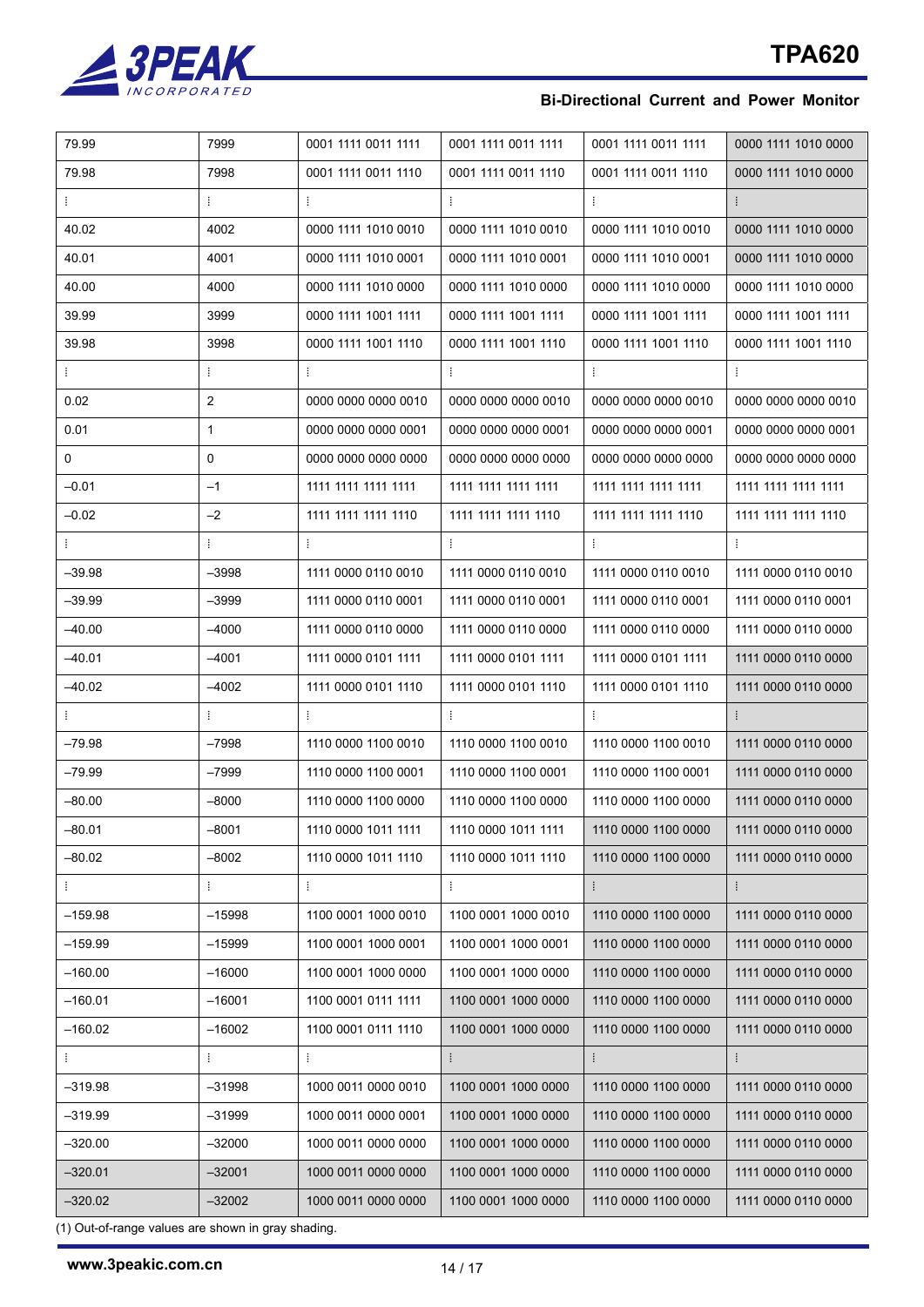

| 79.99<br>7999<br>0001 1111 0011 1111<br>0001 1111 0011 1111<br>0001 1111 0011 1111<br>79.98<br>7998<br>0001 1111 0011 1110<br>0001 1111 0011 1110<br>0001 1111 0011 1110<br>ŧ<br>Ŧ.<br>÷<br>ŧ,<br>Ŧ.<br>ŧ<br>40.02<br>4002<br>0000 1111 1010 0010<br>0000 1111 1010 0010<br>0000 1111 1010 0010<br>40.01<br>4001<br>0000 1111 1010 0001<br>0000 1111 1010 0001<br>0000 1111 1010 0001<br>40.00<br>4000<br>0000 1111 1010 0000<br>0000 1111 1010 0000<br>0000 1111 1010 0000<br>39.99<br>3999<br>0000 1111 1001 1111<br>0000 1111 1001 1111<br>0000 1111 1001 1111<br>39.98<br>3998<br>0000 1111 1001 1110<br>0000 1111 1001 1110<br>0000 1111 1001 1110<br>Ť.<br>÷<br>÷<br>÷<br>ŧ.<br>÷<br>$\overline{2}$<br>0.02<br>0000 0000 0000 0010<br>0000 0000 0000 0010<br>0000 0000 0000 0010<br>0.01<br>$\mathbf{1}$<br>0000 0000 0000 0001<br>0000 0000 0000 0001<br>0000 0000 0000 0001<br>$\mathbf 0$<br>0<br>0000 0000 0000 0000<br>0000 0000 0000 0000<br>0000 0000 0000 0000<br>$-0.01$<br>$-1$<br>1111 1111 1111 1111<br>1111 1111 1111 1111<br>1111 1111 1111 1111<br>$-0.02$<br>$-2$<br>1111 1111 1111 1110<br>1111 1111 1111 1110<br>1111 1111 1111 1110<br>÷<br>÷<br>÷<br>÷<br>÷<br>$-39.98$<br>-3998<br>1111 0000 0110 0010<br>1111 0000 0110 0010<br>1111 0000 0110 0010<br>$-39.99$<br>$-3999$<br>1111 0000 0110 0001<br>1111 0000 0110 0001<br>1111 0000 0110 0001<br>–40.00<br>-4000<br>1111 0000 0110 0000<br>1111 0000 0110 0000<br>1111 0000 0110 0000<br>–40.01<br>–4001<br>1111 0000 0101 1111<br>1111 0000 0101 1111<br>1111 0000 0101 1111<br>-40.02<br>$-4002$<br>1111 0000 0101 1110<br>1111 0000 0101 1110<br>1111 0000 0101 1110<br>÷<br>ŧ<br>÷<br>Ŧ.<br>÷<br>$-79.98$<br>$-7998$<br>1110 0000 1100 0010<br>1110 0000 1100 0010<br>1110 0000 1100 0010<br>-79.99<br>-7999<br>1110 0000 1100 0001<br>1110 0000 1100 0001<br>1110 0000 1100 0001<br>$-80.00$<br>$-8000$<br>1110 0000 1100 0000<br>1110 0000 1100 0000<br>1110 0000 1100 0000<br>$-8001$<br>–80.01<br>1110 0000 1011 1111<br>1110 0000 1011 1111<br>1110 0000 1100 0000<br>$-80.02$<br>$-8002$<br>1110 0000 1011 1110<br>1110 0000 1011 1110<br>1110 0000 1100 0000<br>ŧ<br>÷<br>÷<br>÷<br>÷<br>÷<br>1110 0000 1100 0000<br>–159.98<br>$-15998$<br>1100 0001 1000 0010<br>1100 0001 1000 0010<br>$-15999$<br>–159.99<br>1100 0001 1000 0001<br>1100 0001 1000 0001<br>1110 0000 1100 0000<br>$-160.00$<br>$-16000$<br>1100 0001 1000 0000<br>1100 0001 1000 0000<br>1110 0000 1100 0000<br>–160.01<br>$-16001$<br>1100 0001 0111 1111<br>1100 0001 1000 0000<br>1110 0000 1100 0000<br>$-160.02$<br>$-16002$<br>1100 0001 0111 1110<br>1100 0001 1000 0000<br>1110 0000 1100 0000<br>ŧ<br>÷<br>÷<br>ŧ<br>–319.98<br>$-31998$<br>1000 0011 0000 0010<br>1100 0001 1000 0000<br>1110 0000 1100 0000<br>$-31999$<br>1000 0011 0000 0001<br>1100 0001 1000 0000<br>1110 0000 1100 0000<br>–319.99<br>1000 0011 0000 0000<br>1100 0001 1000 0000<br>1110 0000 1100 0000<br>$-320.00$<br>$-32000$ |           |          |                     |                     |                     |                     |
|-------------------------------------------------------------------------------------------------------------------------------------------------------------------------------------------------------------------------------------------------------------------------------------------------------------------------------------------------------------------------------------------------------------------------------------------------------------------------------------------------------------------------------------------------------------------------------------------------------------------------------------------------------------------------------------------------------------------------------------------------------------------------------------------------------------------------------------------------------------------------------------------------------------------------------------------------------------------------------------------------------------------------------------------------------------------------------------------------------------------------------------------------------------------------------------------------------------------------------------------------------------------------------------------------------------------------------------------------------------------------------------------------------------------------------------------------------------------------------------------------------------------------------------------------------------------------------------------------------------------------------------------------------------------------------------------------------------------------------------------------------------------------------------------------------------------------------------------------------------------------------------------------------------------------------------------------------------------------------------------------------------------------------------------------------------------------------------------------------------------------------------------------------------------------------------------------------------------------------------------------------------------------------------------------------------------------------------------------------------------------------------------------------------------------------------------------------------------------------------------------------------------------------------------------------------------------------------------------------------------------------------------------------------------------------------------------------------------------------------------------------------------------------------------------------------------------------------------------------------------------------------------------------------------------------------------------------------------------------|-----------|----------|---------------------|---------------------|---------------------|---------------------|
|                                                                                                                                                                                                                                                                                                                                                                                                                                                                                                                                                                                                                                                                                                                                                                                                                                                                                                                                                                                                                                                                                                                                                                                                                                                                                                                                                                                                                                                                                                                                                                                                                                                                                                                                                                                                                                                                                                                                                                                                                                                                                                                                                                                                                                                                                                                                                                                                                                                                                                                                                                                                                                                                                                                                                                                                                                                                                                                                                                               |           |          |                     |                     |                     | 0000 1111 1010 0000 |
|                                                                                                                                                                                                                                                                                                                                                                                                                                                                                                                                                                                                                                                                                                                                                                                                                                                                                                                                                                                                                                                                                                                                                                                                                                                                                                                                                                                                                                                                                                                                                                                                                                                                                                                                                                                                                                                                                                                                                                                                                                                                                                                                                                                                                                                                                                                                                                                                                                                                                                                                                                                                                                                                                                                                                                                                                                                                                                                                                                               |           |          |                     |                     |                     | 0000 1111 1010 0000 |
|                                                                                                                                                                                                                                                                                                                                                                                                                                                                                                                                                                                                                                                                                                                                                                                                                                                                                                                                                                                                                                                                                                                                                                                                                                                                                                                                                                                                                                                                                                                                                                                                                                                                                                                                                                                                                                                                                                                                                                                                                                                                                                                                                                                                                                                                                                                                                                                                                                                                                                                                                                                                                                                                                                                                                                                                                                                                                                                                                                               |           |          |                     |                     |                     |                     |
|                                                                                                                                                                                                                                                                                                                                                                                                                                                                                                                                                                                                                                                                                                                                                                                                                                                                                                                                                                                                                                                                                                                                                                                                                                                                                                                                                                                                                                                                                                                                                                                                                                                                                                                                                                                                                                                                                                                                                                                                                                                                                                                                                                                                                                                                                                                                                                                                                                                                                                                                                                                                                                                                                                                                                                                                                                                                                                                                                                               |           |          |                     |                     |                     | 0000 1111 1010 0000 |
|                                                                                                                                                                                                                                                                                                                                                                                                                                                                                                                                                                                                                                                                                                                                                                                                                                                                                                                                                                                                                                                                                                                                                                                                                                                                                                                                                                                                                                                                                                                                                                                                                                                                                                                                                                                                                                                                                                                                                                                                                                                                                                                                                                                                                                                                                                                                                                                                                                                                                                                                                                                                                                                                                                                                                                                                                                                                                                                                                                               |           |          |                     |                     |                     | 0000 1111 1010 0000 |
|                                                                                                                                                                                                                                                                                                                                                                                                                                                                                                                                                                                                                                                                                                                                                                                                                                                                                                                                                                                                                                                                                                                                                                                                                                                                                                                                                                                                                                                                                                                                                                                                                                                                                                                                                                                                                                                                                                                                                                                                                                                                                                                                                                                                                                                                                                                                                                                                                                                                                                                                                                                                                                                                                                                                                                                                                                                                                                                                                                               |           |          |                     |                     |                     | 0000 1111 1010 0000 |
|                                                                                                                                                                                                                                                                                                                                                                                                                                                                                                                                                                                                                                                                                                                                                                                                                                                                                                                                                                                                                                                                                                                                                                                                                                                                                                                                                                                                                                                                                                                                                                                                                                                                                                                                                                                                                                                                                                                                                                                                                                                                                                                                                                                                                                                                                                                                                                                                                                                                                                                                                                                                                                                                                                                                                                                                                                                                                                                                                                               |           |          |                     |                     |                     | 0000 1111 1001 1111 |
|                                                                                                                                                                                                                                                                                                                                                                                                                                                                                                                                                                                                                                                                                                                                                                                                                                                                                                                                                                                                                                                                                                                                                                                                                                                                                                                                                                                                                                                                                                                                                                                                                                                                                                                                                                                                                                                                                                                                                                                                                                                                                                                                                                                                                                                                                                                                                                                                                                                                                                                                                                                                                                                                                                                                                                                                                                                                                                                                                                               |           |          |                     |                     |                     | 0000 1111 1001 1110 |
|                                                                                                                                                                                                                                                                                                                                                                                                                                                                                                                                                                                                                                                                                                                                                                                                                                                                                                                                                                                                                                                                                                                                                                                                                                                                                                                                                                                                                                                                                                                                                                                                                                                                                                                                                                                                                                                                                                                                                                                                                                                                                                                                                                                                                                                                                                                                                                                                                                                                                                                                                                                                                                                                                                                                                                                                                                                                                                                                                                               |           |          |                     |                     |                     |                     |
|                                                                                                                                                                                                                                                                                                                                                                                                                                                                                                                                                                                                                                                                                                                                                                                                                                                                                                                                                                                                                                                                                                                                                                                                                                                                                                                                                                                                                                                                                                                                                                                                                                                                                                                                                                                                                                                                                                                                                                                                                                                                                                                                                                                                                                                                                                                                                                                                                                                                                                                                                                                                                                                                                                                                                                                                                                                                                                                                                                               |           |          |                     |                     |                     | 0000 0000 0000 0010 |
|                                                                                                                                                                                                                                                                                                                                                                                                                                                                                                                                                                                                                                                                                                                                                                                                                                                                                                                                                                                                                                                                                                                                                                                                                                                                                                                                                                                                                                                                                                                                                                                                                                                                                                                                                                                                                                                                                                                                                                                                                                                                                                                                                                                                                                                                                                                                                                                                                                                                                                                                                                                                                                                                                                                                                                                                                                                                                                                                                                               |           |          |                     |                     |                     | 0000 0000 0000 0001 |
|                                                                                                                                                                                                                                                                                                                                                                                                                                                                                                                                                                                                                                                                                                                                                                                                                                                                                                                                                                                                                                                                                                                                                                                                                                                                                                                                                                                                                                                                                                                                                                                                                                                                                                                                                                                                                                                                                                                                                                                                                                                                                                                                                                                                                                                                                                                                                                                                                                                                                                                                                                                                                                                                                                                                                                                                                                                                                                                                                                               |           |          |                     |                     |                     | 0000 0000 0000 0000 |
|                                                                                                                                                                                                                                                                                                                                                                                                                                                                                                                                                                                                                                                                                                                                                                                                                                                                                                                                                                                                                                                                                                                                                                                                                                                                                                                                                                                                                                                                                                                                                                                                                                                                                                                                                                                                                                                                                                                                                                                                                                                                                                                                                                                                                                                                                                                                                                                                                                                                                                                                                                                                                                                                                                                                                                                                                                                                                                                                                                               |           |          |                     |                     |                     | 1111 1111 1111 1111 |
|                                                                                                                                                                                                                                                                                                                                                                                                                                                                                                                                                                                                                                                                                                                                                                                                                                                                                                                                                                                                                                                                                                                                                                                                                                                                                                                                                                                                                                                                                                                                                                                                                                                                                                                                                                                                                                                                                                                                                                                                                                                                                                                                                                                                                                                                                                                                                                                                                                                                                                                                                                                                                                                                                                                                                                                                                                                                                                                                                                               |           |          |                     |                     |                     | 1111 1111 1111 1110 |
|                                                                                                                                                                                                                                                                                                                                                                                                                                                                                                                                                                                                                                                                                                                                                                                                                                                                                                                                                                                                                                                                                                                                                                                                                                                                                                                                                                                                                                                                                                                                                                                                                                                                                                                                                                                                                                                                                                                                                                                                                                                                                                                                                                                                                                                                                                                                                                                                                                                                                                                                                                                                                                                                                                                                                                                                                                                                                                                                                                               |           |          |                     |                     |                     |                     |
|                                                                                                                                                                                                                                                                                                                                                                                                                                                                                                                                                                                                                                                                                                                                                                                                                                                                                                                                                                                                                                                                                                                                                                                                                                                                                                                                                                                                                                                                                                                                                                                                                                                                                                                                                                                                                                                                                                                                                                                                                                                                                                                                                                                                                                                                                                                                                                                                                                                                                                                                                                                                                                                                                                                                                                                                                                                                                                                                                                               |           |          |                     |                     |                     | 1111 0000 0110 0010 |
|                                                                                                                                                                                                                                                                                                                                                                                                                                                                                                                                                                                                                                                                                                                                                                                                                                                                                                                                                                                                                                                                                                                                                                                                                                                                                                                                                                                                                                                                                                                                                                                                                                                                                                                                                                                                                                                                                                                                                                                                                                                                                                                                                                                                                                                                                                                                                                                                                                                                                                                                                                                                                                                                                                                                                                                                                                                                                                                                                                               |           |          |                     |                     |                     | 1111 0000 0110 0001 |
|                                                                                                                                                                                                                                                                                                                                                                                                                                                                                                                                                                                                                                                                                                                                                                                                                                                                                                                                                                                                                                                                                                                                                                                                                                                                                                                                                                                                                                                                                                                                                                                                                                                                                                                                                                                                                                                                                                                                                                                                                                                                                                                                                                                                                                                                                                                                                                                                                                                                                                                                                                                                                                                                                                                                                                                                                                                                                                                                                                               |           |          |                     |                     |                     | 1111 0000 0110 0000 |
|                                                                                                                                                                                                                                                                                                                                                                                                                                                                                                                                                                                                                                                                                                                                                                                                                                                                                                                                                                                                                                                                                                                                                                                                                                                                                                                                                                                                                                                                                                                                                                                                                                                                                                                                                                                                                                                                                                                                                                                                                                                                                                                                                                                                                                                                                                                                                                                                                                                                                                                                                                                                                                                                                                                                                                                                                                                                                                                                                                               |           |          |                     |                     |                     | 1111 0000 0110 0000 |
|                                                                                                                                                                                                                                                                                                                                                                                                                                                                                                                                                                                                                                                                                                                                                                                                                                                                                                                                                                                                                                                                                                                                                                                                                                                                                                                                                                                                                                                                                                                                                                                                                                                                                                                                                                                                                                                                                                                                                                                                                                                                                                                                                                                                                                                                                                                                                                                                                                                                                                                                                                                                                                                                                                                                                                                                                                                                                                                                                                               |           |          |                     |                     |                     | 1111 0000 0110 0000 |
|                                                                                                                                                                                                                                                                                                                                                                                                                                                                                                                                                                                                                                                                                                                                                                                                                                                                                                                                                                                                                                                                                                                                                                                                                                                                                                                                                                                                                                                                                                                                                                                                                                                                                                                                                                                                                                                                                                                                                                                                                                                                                                                                                                                                                                                                                                                                                                                                                                                                                                                                                                                                                                                                                                                                                                                                                                                                                                                                                                               |           |          |                     |                     |                     |                     |
|                                                                                                                                                                                                                                                                                                                                                                                                                                                                                                                                                                                                                                                                                                                                                                                                                                                                                                                                                                                                                                                                                                                                                                                                                                                                                                                                                                                                                                                                                                                                                                                                                                                                                                                                                                                                                                                                                                                                                                                                                                                                                                                                                                                                                                                                                                                                                                                                                                                                                                                                                                                                                                                                                                                                                                                                                                                                                                                                                                               |           |          |                     |                     |                     | 1111 0000 0110 0000 |
|                                                                                                                                                                                                                                                                                                                                                                                                                                                                                                                                                                                                                                                                                                                                                                                                                                                                                                                                                                                                                                                                                                                                                                                                                                                                                                                                                                                                                                                                                                                                                                                                                                                                                                                                                                                                                                                                                                                                                                                                                                                                                                                                                                                                                                                                                                                                                                                                                                                                                                                                                                                                                                                                                                                                                                                                                                                                                                                                                                               |           |          |                     |                     |                     | 1111 0000 0110 0000 |
|                                                                                                                                                                                                                                                                                                                                                                                                                                                                                                                                                                                                                                                                                                                                                                                                                                                                                                                                                                                                                                                                                                                                                                                                                                                                                                                                                                                                                                                                                                                                                                                                                                                                                                                                                                                                                                                                                                                                                                                                                                                                                                                                                                                                                                                                                                                                                                                                                                                                                                                                                                                                                                                                                                                                                                                                                                                                                                                                                                               |           |          |                     |                     |                     | 1111 0000 0110 0000 |
|                                                                                                                                                                                                                                                                                                                                                                                                                                                                                                                                                                                                                                                                                                                                                                                                                                                                                                                                                                                                                                                                                                                                                                                                                                                                                                                                                                                                                                                                                                                                                                                                                                                                                                                                                                                                                                                                                                                                                                                                                                                                                                                                                                                                                                                                                                                                                                                                                                                                                                                                                                                                                                                                                                                                                                                                                                                                                                                                                                               |           |          |                     |                     |                     | 1111 0000 0110 0000 |
|                                                                                                                                                                                                                                                                                                                                                                                                                                                                                                                                                                                                                                                                                                                                                                                                                                                                                                                                                                                                                                                                                                                                                                                                                                                                                                                                                                                                                                                                                                                                                                                                                                                                                                                                                                                                                                                                                                                                                                                                                                                                                                                                                                                                                                                                                                                                                                                                                                                                                                                                                                                                                                                                                                                                                                                                                                                                                                                                                                               |           |          |                     |                     |                     | 1111 0000 0110 0000 |
|                                                                                                                                                                                                                                                                                                                                                                                                                                                                                                                                                                                                                                                                                                                                                                                                                                                                                                                                                                                                                                                                                                                                                                                                                                                                                                                                                                                                                                                                                                                                                                                                                                                                                                                                                                                                                                                                                                                                                                                                                                                                                                                                                                                                                                                                                                                                                                                                                                                                                                                                                                                                                                                                                                                                                                                                                                                                                                                                                                               |           |          |                     |                     |                     |                     |
|                                                                                                                                                                                                                                                                                                                                                                                                                                                                                                                                                                                                                                                                                                                                                                                                                                                                                                                                                                                                                                                                                                                                                                                                                                                                                                                                                                                                                                                                                                                                                                                                                                                                                                                                                                                                                                                                                                                                                                                                                                                                                                                                                                                                                                                                                                                                                                                                                                                                                                                                                                                                                                                                                                                                                                                                                                                                                                                                                                               |           |          |                     |                     |                     | 1111 0000 0110 0000 |
|                                                                                                                                                                                                                                                                                                                                                                                                                                                                                                                                                                                                                                                                                                                                                                                                                                                                                                                                                                                                                                                                                                                                                                                                                                                                                                                                                                                                                                                                                                                                                                                                                                                                                                                                                                                                                                                                                                                                                                                                                                                                                                                                                                                                                                                                                                                                                                                                                                                                                                                                                                                                                                                                                                                                                                                                                                                                                                                                                                               |           |          |                     |                     |                     | 1111 0000 0110 0000 |
|                                                                                                                                                                                                                                                                                                                                                                                                                                                                                                                                                                                                                                                                                                                                                                                                                                                                                                                                                                                                                                                                                                                                                                                                                                                                                                                                                                                                                                                                                                                                                                                                                                                                                                                                                                                                                                                                                                                                                                                                                                                                                                                                                                                                                                                                                                                                                                                                                                                                                                                                                                                                                                                                                                                                                                                                                                                                                                                                                                               |           |          |                     |                     |                     | 1111 0000 0110 0000 |
|                                                                                                                                                                                                                                                                                                                                                                                                                                                                                                                                                                                                                                                                                                                                                                                                                                                                                                                                                                                                                                                                                                                                                                                                                                                                                                                                                                                                                                                                                                                                                                                                                                                                                                                                                                                                                                                                                                                                                                                                                                                                                                                                                                                                                                                                                                                                                                                                                                                                                                                                                                                                                                                                                                                                                                                                                                                                                                                                                                               |           |          |                     |                     |                     | 1111 0000 0110 0000 |
|                                                                                                                                                                                                                                                                                                                                                                                                                                                                                                                                                                                                                                                                                                                                                                                                                                                                                                                                                                                                                                                                                                                                                                                                                                                                                                                                                                                                                                                                                                                                                                                                                                                                                                                                                                                                                                                                                                                                                                                                                                                                                                                                                                                                                                                                                                                                                                                                                                                                                                                                                                                                                                                                                                                                                                                                                                                                                                                                                                               |           |          |                     |                     |                     | 1111 0000 0110 0000 |
|                                                                                                                                                                                                                                                                                                                                                                                                                                                                                                                                                                                                                                                                                                                                                                                                                                                                                                                                                                                                                                                                                                                                                                                                                                                                                                                                                                                                                                                                                                                                                                                                                                                                                                                                                                                                                                                                                                                                                                                                                                                                                                                                                                                                                                                                                                                                                                                                                                                                                                                                                                                                                                                                                                                                                                                                                                                                                                                                                                               |           |          |                     |                     |                     |                     |
|                                                                                                                                                                                                                                                                                                                                                                                                                                                                                                                                                                                                                                                                                                                                                                                                                                                                                                                                                                                                                                                                                                                                                                                                                                                                                                                                                                                                                                                                                                                                                                                                                                                                                                                                                                                                                                                                                                                                                                                                                                                                                                                                                                                                                                                                                                                                                                                                                                                                                                                                                                                                                                                                                                                                                                                                                                                                                                                                                                               |           |          |                     |                     |                     | 1111 0000 0110 0000 |
|                                                                                                                                                                                                                                                                                                                                                                                                                                                                                                                                                                                                                                                                                                                                                                                                                                                                                                                                                                                                                                                                                                                                                                                                                                                                                                                                                                                                                                                                                                                                                                                                                                                                                                                                                                                                                                                                                                                                                                                                                                                                                                                                                                                                                                                                                                                                                                                                                                                                                                                                                                                                                                                                                                                                                                                                                                                                                                                                                                               |           |          |                     |                     |                     | 1111 0000 0110 0000 |
|                                                                                                                                                                                                                                                                                                                                                                                                                                                                                                                                                                                                                                                                                                                                                                                                                                                                                                                                                                                                                                                                                                                                                                                                                                                                                                                                                                                                                                                                                                                                                                                                                                                                                                                                                                                                                                                                                                                                                                                                                                                                                                                                                                                                                                                                                                                                                                                                                                                                                                                                                                                                                                                                                                                                                                                                                                                                                                                                                                               |           |          |                     |                     |                     | 1111 0000 0110 0000 |
|                                                                                                                                                                                                                                                                                                                                                                                                                                                                                                                                                                                                                                                                                                                                                                                                                                                                                                                                                                                                                                                                                                                                                                                                                                                                                                                                                                                                                                                                                                                                                                                                                                                                                                                                                                                                                                                                                                                                                                                                                                                                                                                                                                                                                                                                                                                                                                                                                                                                                                                                                                                                                                                                                                                                                                                                                                                                                                                                                                               | $-320.01$ | $-32001$ | 1000 0011 0000 0000 | 1100 0001 1000 0000 | 1110 0000 1100 0000 | 1111 0000 0110 0000 |
| $-320.02$<br>$-32002$<br>1000 0011 0000 0000<br>1100 0001 1000 0000<br>1110 0000 1100 0000                                                                                                                                                                                                                                                                                                                                                                                                                                                                                                                                                                                                                                                                                                                                                                                                                                                                                                                                                                                                                                                                                                                                                                                                                                                                                                                                                                                                                                                                                                                                                                                                                                                                                                                                                                                                                                                                                                                                                                                                                                                                                                                                                                                                                                                                                                                                                                                                                                                                                                                                                                                                                                                                                                                                                                                                                                                                                    |           |          |                     |                     |                     | 1111 0000 0110 0000 |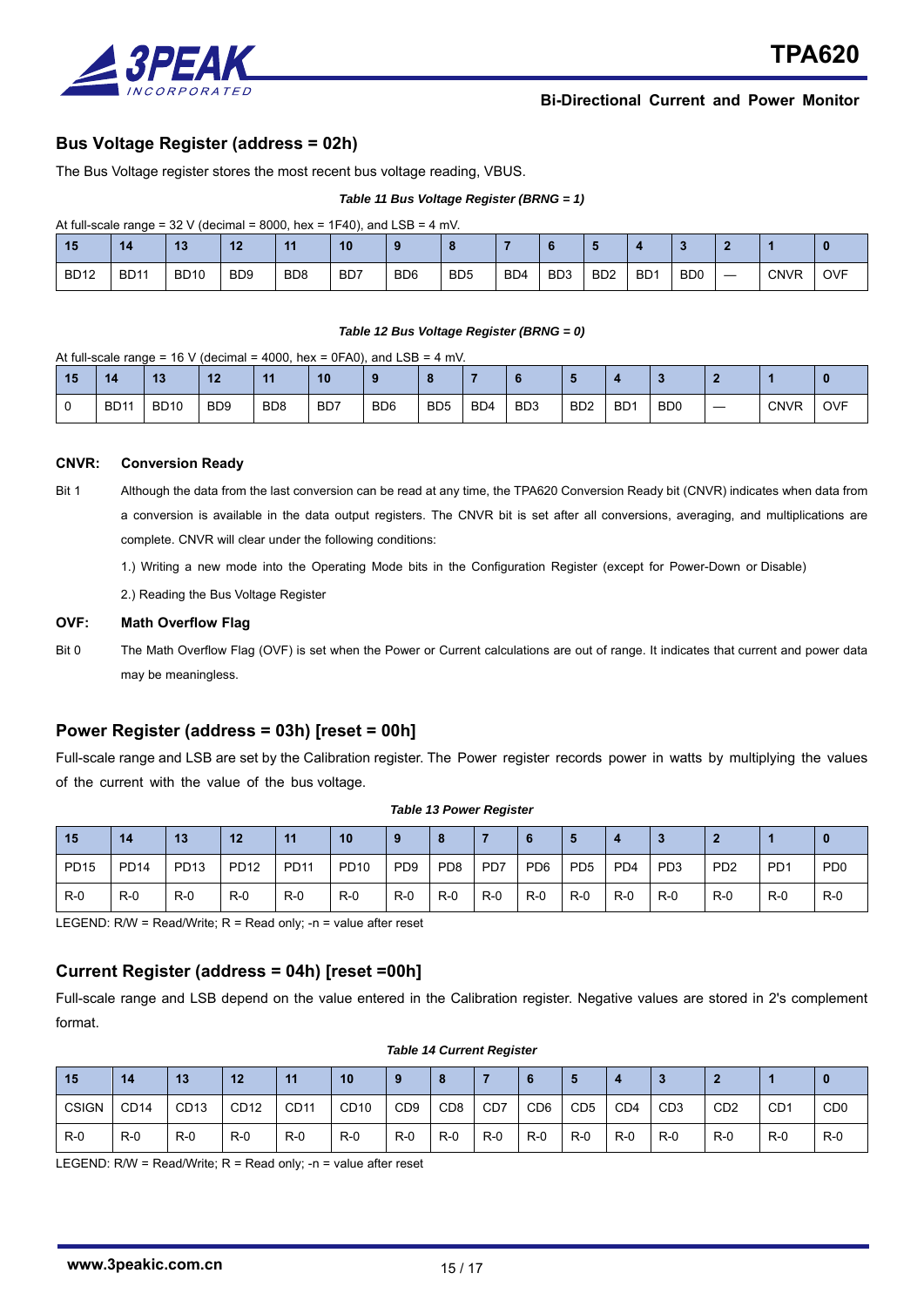

### **Bus Voltage Register (address = 02h)**

The Bus Voltage register stores the most recent bus voltage reading, VBUS.

#### *Table 11 Bus Voltage Register (BRNG = 1)*

At full-scale range =  $32$  V (decimal =  $8000$ , hex =  $1F40$ ), and LSB =  $4$  mV.

| 15          | 14          |             | 12                          | 44               | 10               |                 |                 |                  |                  |                  |                  |                |                          |             |            |
|-------------|-------------|-------------|-----------------------------|------------------|------------------|-----------------|-----------------|------------------|------------------|------------------|------------------|----------------|--------------------------|-------------|------------|
| <b>BD12</b> | <b>BD11</b> | <b>BD10</b> | B <sub>D</sub> <sub>9</sub> | B <sub>D</sub> 8 | B <sub>D</sub> 7 | B <sub>D6</sub> | B <sub>D5</sub> | B <sub>D</sub> 4 | B <sub>D</sub> 3 | B <sub>D</sub> 2 | B <sub>D</sub> 1 | B <sub>D</sub> | $\overline{\phantom{a}}$ | <b>CNVR</b> | <b>OVF</b> |

#### *Table 12 Bus Voltage Register (BRNG = 0)*

#### At full-scale range = 16 V (decimal = 4000, hex = 0FA0), and LSB = 4 mV.

| 15 | 14          | $\overline{12}$<br>19 | $\overline{10}$<br>UA.      | . .             | 10               |                 |                 |                  |                 |                  |                 |                |             |            |
|----|-------------|-----------------------|-----------------------------|-----------------|------------------|-----------------|-----------------|------------------|-----------------|------------------|-----------------|----------------|-------------|------------|
|    | <b>BD11</b> | <b>BD10</b>           | B <sub>D</sub> <sub>9</sub> | BD <sub>8</sub> | B <sub>D</sub> 7 | B <sub>D6</sub> | B <sub>D5</sub> | B <sub>D</sub> 4 | BD <sub>3</sub> | B <sub>D</sub> 2 | BD <sup>-</sup> | B <sub>D</sub> | <b>CNVR</b> | <b>OVF</b> |

#### **CNVR: Conversion Ready**

- Bit 1 Although the data from the last conversion can be read at any time, the TPA620 Conversion Ready bit (CNVR) indicates when data from a conversion is available in the data output registers. The CNVR bit is set after all conversions, averaging, and multiplications are complete. CNVR will clear under the following conditions:
	- 1.) Writing a new mode into the Operating Mode bits in the Configuration Register (except for Power-Down or Disable)
	- 2.) Reading the Bus Voltage Register

#### **OVF: Math Overflow Flag**

Bit 0 The Math Overflow Flag (OVF) is set when the Power or Current calculations are out of range. It indicates that current and power data may be meaningless.

### **Power Register (address = 03h) [reset = 00h]**

Full-scale range and LSB are set by the Calibration register. The Power register records power in watts by multiplying the values of the current with the value of the bus voltage.

| 15          | 14          | 13    | 12          | $\overline{11}$ | 10          |                 |                 |                  |                 |                 |                 |                 |                             |                 |                             |
|-------------|-------------|-------|-------------|-----------------|-------------|-----------------|-----------------|------------------|-----------------|-----------------|-----------------|-----------------|-----------------------------|-----------------|-----------------------------|
| <b>PD15</b> | <b>PD14</b> | PD13  | <b>PD12</b> | <b>PD11</b>     | <b>PD10</b> | PD <sub>9</sub> | PD <sub>8</sub> | P <sub>D</sub> 7 | PD <sub>6</sub> | P <sub>D5</sub> | PD <sub>4</sub> | PD <sub>3</sub> | P <sub>D</sub> <sub>2</sub> | PD <sup>1</sup> | P <sub>D</sub> <sub>0</sub> |
| $R-0$       | $R-0$       | $R-0$ | $R-0$       | $R-0$           | $R-0$       | R-0             | R-0             | R-0              | R-0             | R-0             | $R-0$           | $R-0$           | $R-0$                       | $R-0$           | $R-0$                       |

*Table 13 Power Register* 

LEGEND: R/W = Read/Write; R = Read only; -n = value after reset

### **Current Register (address = 04h) [reset =00h]**

Full-scale range and LSB depend on the value entered in the Calibration register. Negative values are stored in 2's complement format.

| 15           | 14               | 13               | 12               | 11    | 10               |                 |                 |       |                 |                 |                 |                  |                             |                 |                             |
|--------------|------------------|------------------|------------------|-------|------------------|-----------------|-----------------|-------|-----------------|-----------------|-----------------|------------------|-----------------------------|-----------------|-----------------------------|
| <b>CSIGN</b> | CD <sub>14</sub> | CD <sub>13</sub> | CD <sub>12</sub> | CD11  | CD <sub>10</sub> | CD <sub>9</sub> | CD <sub>8</sub> | CD7   | CD <sub>6</sub> | CD <sub>5</sub> | CD <sub>4</sub> | C <sub>D</sub> 3 | C <sub>D</sub> <sub>2</sub> | CD <sub>1</sub> | C <sub>D</sub> <sub>0</sub> |
| $R-0$        | $R-0$            | $R-0$            | $R-0$            | $R-0$ | $R-0$            | $R-0$           | $R-0$           | $R-0$ | $R-0$           | $R-0$           | $R-0$           | $R-0$            | $R-0$                       | $R-0$           | $R-0$                       |

#### *Table 14 Current Register*

LEGEND: R/W = Read/Write; R = Read only; -n = value after reset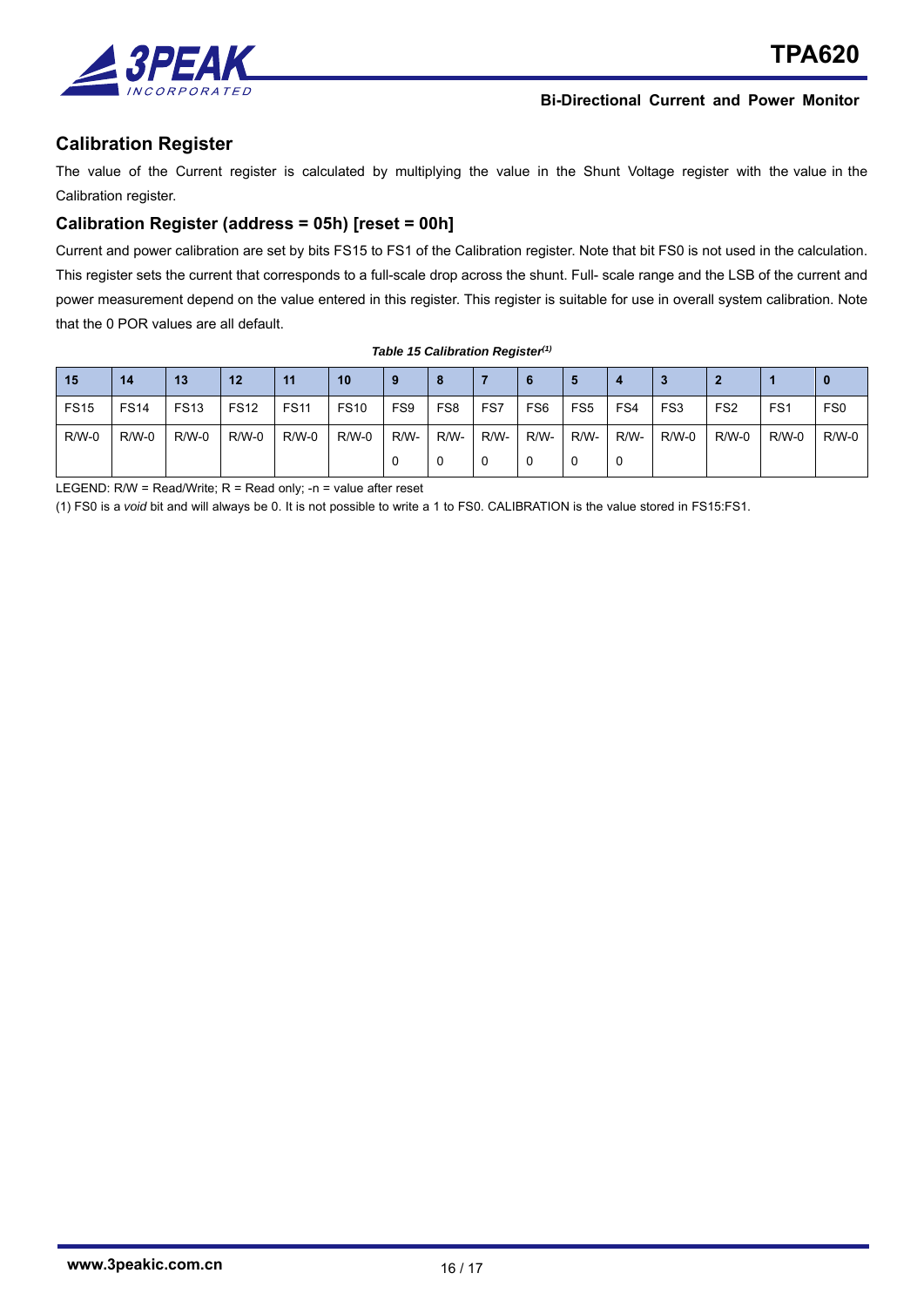

## **Calibration Register**

The value of the Current register is calculated by multiplying the value in the Shunt Voltage register with the value in the Calibration register.

## **Calibration Register (address = 05h) [reset = 00h]**

Current and power calibration are set by bits FS15 to FS1 of the Calibration register. Note that bit FS0 is not used in the calculation. This register sets the current that corresponds to a full-scale drop across the shunt. Full- scale range and the LSB of the current and power measurement depend on the value entered in this register. This register is suitable for use in overall system calibration. Note that the 0 POR values are all default.

| <b>15</b>    | 14           | 13           | 12           | 11           | 10           |      |                 |      |                 | Ð               |      | ≘       |                 |                 |                 |
|--------------|--------------|--------------|--------------|--------------|--------------|------|-----------------|------|-----------------|-----------------|------|---------|-----------------|-----------------|-----------------|
| <b>FS15</b>  | <b>FS14</b>  | <b>FS13</b>  | <b>FS12</b>  | <b>FS11</b>  | <b>FS10</b>  | FS9  | FS <sub>8</sub> | FS7  | FS <sub>6</sub> | FS <sub>5</sub> | FS4  | FS3     | FS <sub>2</sub> | FS <sub>1</sub> | FS <sub>0</sub> |
| <b>R/W-0</b> | <b>R/W-0</b> | <b>R/W-0</b> | <b>R/W-0</b> | <b>R/W-0</b> | <b>R/W-0</b> | R/W- | R/W-            | R/W- | R/W-            | R/W-            | R/W- | $R/W-0$ | $R/W-0$         | $R/W-0$         | R/W-0           |
|              |              |              |              |              |              |      |                 |      |                 |                 |      |         |                 |                 |                 |

*Table 15 Calibration Register(1)*

LEGEND: R/W = Read/Write; R = Read only; -n = value after reset

(1) FS0 is a *void* bit and will always be 0. It is not possible to write a 1 to FS0. CALIBRATION is the value stored in FS15:FS1.